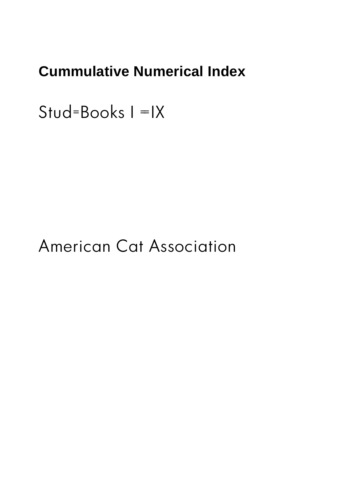### **Cummulative Numerical Index**

 $Stud = Books$   $I = IX$ 

## American Cat Association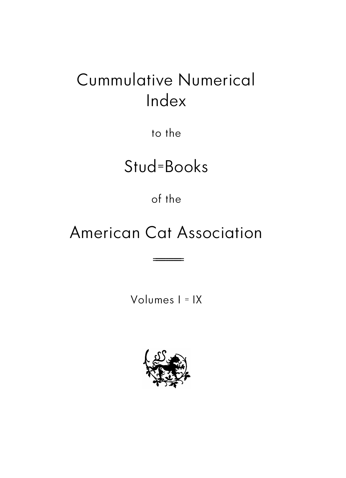# Cummulative Numerical Index

to the

# Stud=Books

of the

# American Cat Association

===========

Volumes I = IX

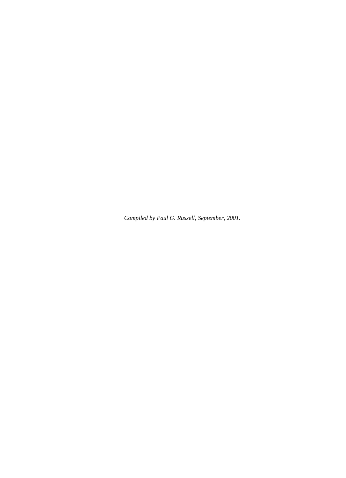*Compiled by Paul G. Russell, September, 2001.*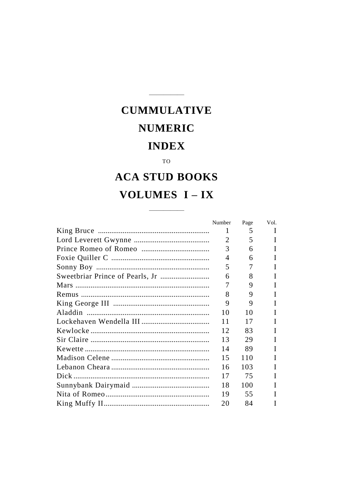#### TO

### **ACA STUD BOOKS** VOLUMES I-IX

| Number | Page | Vol. |
|--------|------|------|
| 1      | 5    | L    |
| 2      | 5    | L    |
| 3      | 6    |      |
| 4      | 6    |      |
| 5      | 7    |      |
| 6      | 8    | Н    |
|        | 9    | L    |
| 8      | 9    |      |
| 9      | 9    |      |
| 10     | 10   |      |
| 11     | 17   | L    |
| 12     | 83   | L    |
| 13     | 29   |      |
| 14     | 89   |      |
| 15     | 110  |      |
| 16     | 103  |      |
| 17     | 75   | I    |
| 18     | 100  |      |
| 19     | 55   |      |
| 20     | 84   |      |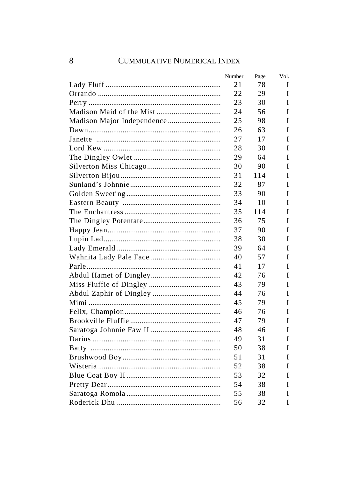| Number | Page | Vol. |
|--------|------|------|
| 21     | 78   | Ι    |
| 22     | 29   | I    |
| 23     | 30   | I    |
| 24     | 56   | I    |
| 25     | 98   | Ī    |
| 26     | 63   | Ī    |
| 27     | 17   | I    |
| 28     | 30   | Ī    |
| 29     | 64   | I    |
| 30     | 90   | T    |
| 31     | 114  | I    |
| 32     | 87   | I    |
| 33     | 90   | I    |
| 34     | 10   | I    |
| 35     | 114  | I    |
| 36     | 75   | I    |
| 37     | 90   | I    |
| 38     | 30   | I    |
| 39     | 64   | T    |
| 40     | 57   | I    |
| 41     | 17   | I    |
| 42     | 76   | I    |
| 43     | 79   | I    |
| 44     | 76   | I    |
| 45     | 79   | I    |
| 46     | 76   | I    |
| 47     | 79   | I    |
| 48     | 46   | I    |
| 49     | 31   | I    |
| 50     | 38   | I    |
| 51     | 31   | I    |
| 52     | 38   | I    |
| 53     | 32   | I    |
| 54     | 38   | I    |
| 55     | 38   | I    |
| 56     | 32   | Ī    |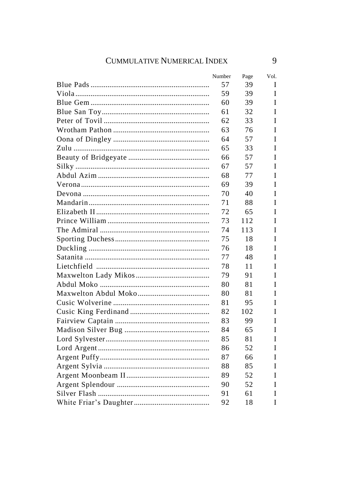| Number | Page | Vol. |
|--------|------|------|
| 57     | 39   | I    |
| 59     | 39   | I    |
| 60     | 39   | I    |
| 61     | 32   | I    |
| 62     | 33   | I    |
| 63     | 76   | I    |
| 64     | 57   | I    |
| 65     | 33   | I    |
| 66     | 57   | I    |
| 67     | 57   | I    |
| 68     | 77   | I    |
| 69     | 39   | I    |
| 70     | 40   | I    |
| 71     | 88   | I    |
| 72     | 65   | I    |
| 73     | 112  | I    |
| 74     | 113  | I    |
| 75     | 18   | I    |
| 76     | 18   | I    |
| 77     | 48   | I    |
| 78     | 11   | I    |
| 79     | 91   | I    |
| 80     | 81   | I    |
| 80     | 81   | I    |
| 81     | 95   | I    |
| 82     | 102  | I    |
| 83     | 99   | I    |
| 84     | 65   | I    |
| 85     | 81   | I    |
| 86     | 52   | I    |
| 87     | 66   | I    |
| 88     | 85   | I    |
| 89     | 52   | I    |
| 90     | 52   | I    |
| 91     | 61   | I    |
| 92     | 18   | I    |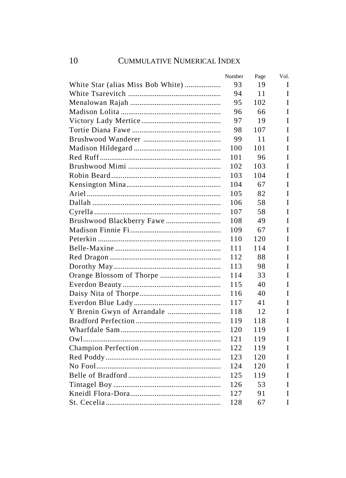| Number | Page | Vol. |
|--------|------|------|
| 93     | 19   | Τ    |
| 94     | 11   | T    |
| 95     | 102  | I    |
| 96     | 66   | I    |
| 97     | 19   | I    |
| 98     | 107  | I    |
| 99     | 11   | I    |
| 100    | 101  | T    |
| 101    | 96   | I    |
| 102    | 103  | I    |
| 103    | 104  | I    |
| 104    | 67   | I    |
| 105    | 82   | I    |
| 106    | 58   | I    |
| 107    | 58   | I    |
| 108    | 49   | T    |
| 109    | 67   | T    |
| 110    | 120  | Ī    |
| 111    | 114  | I    |
| 112    | 88   | I    |
| 113    | 98   | I    |
| 114    | 33   | T    |
| 115    | 40   | I    |
| 116    | 40   | I    |
| 117    | 41   | I    |
| 118    | 12   | I    |
| 119    | 118  | I    |
| 120    | 119  | I    |
| 121    | 119  | I    |
| 122    | 119  | Ī    |
| 123    | 120  | I    |
| 124    | 120  | I    |
| 125    | 119  | I    |
| 126    | 53   | I    |
| 127    | 91   | I    |
| 128    | 67   | Ī    |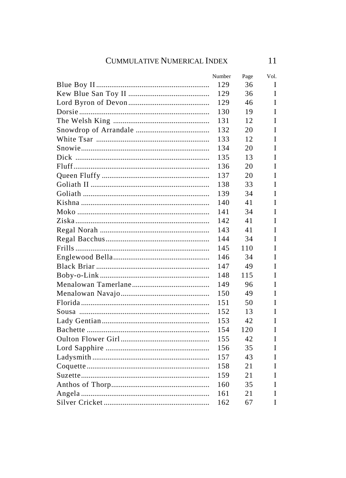| Number | Page | Vol. |
|--------|------|------|
| 129    | 36   | I    |
| 129    | 36   | I    |
| 129    | 46   | I    |
| 130    | 19   | I    |
| 131    | 12   | I    |
| 132    | 20   | I    |
| 133    | 12   | I    |
| 134    | 20   | I    |
| 135    | 13   | I    |
| 136    | 20   | I    |
| 137    | 20   | I    |
| 138    | 33   | I    |
| 139    | 34   | I    |
| 140    | 41   | I    |
| 141    | 34   | I    |
| 142    | 41   | I    |
| 143    | 41   | I    |
| 144    | 34   | I    |
| 145    | 110  | I    |
| 146    | 34   | I    |
| 147    | 49   | I    |
| 148    | 115  | I    |
| 149    | 96   | I    |
| 150    | 49   | I    |
| 151    | 50   | I    |
| 152    | 13   | I    |
| 153    | 42   | I    |
| 154    | 120  | I    |
| 155    | 42   | I    |
| 156    | 35   | I    |
| 157    | 43   | I    |
| 158    | 21   | I    |
| 159    | 21   | I    |
| 160    | 35   | I    |
| 161    | 21   | I    |
| 162    | 67   | I    |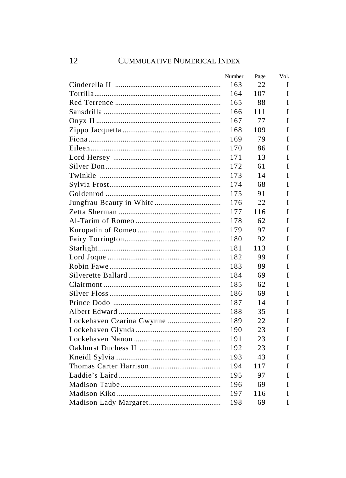| Number | Page | Vol. |
|--------|------|------|
| 163    | 22   | I    |
| 164    | 107  | T    |
| 165    | 88   | Ī    |
| 166    | 111  | I    |
| 167    | 77   | I    |
| 168    | 109  | T    |
| 169    | 79   | I    |
| 170    | 86   | Ī    |
| 171    | 13   | Ī    |
| 172    | 61   | I    |
| 173    | 14   | I    |
| 174    | 68   | I    |
| 175    | 91   | I    |
| 176    | 22   | I    |
| 177    | 116  | I    |
| 178    | 62   | I    |
| 179    | 97   | I    |
| 180    | 92   | I    |
| 181    | 113  | I    |
| 182    | 99   | I    |
| 183    | 89   | I    |
| 184    | 69   | T    |
| 185    | 62   | T    |
| 186    | 69   | T    |
| 187    | 14   | Ī    |
| 188    | 35   | Ī    |
| 189    | 22   | I    |
| 190    | 23   | T    |
| 191    | 23   | I    |
| 192    | 23   | I    |
| 193    | 43   | Ī    |
| 194    | 117  | Ī    |
| 195    | 97   | I    |
| 196    | 69   | Ī    |
| 197    | 116  | I    |
| 198    | 69   | I    |
|        |      |      |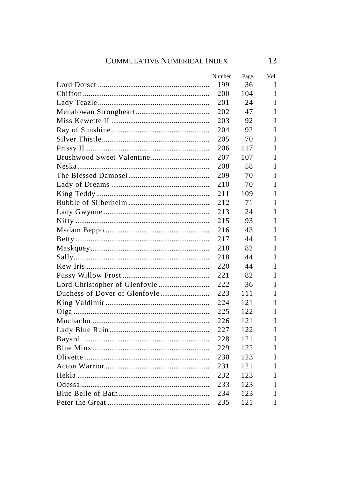|                               | Number | Page | Vol. |
|-------------------------------|--------|------|------|
|                               | 199    | 36   | I    |
|                               | 200    | 104  | I    |
|                               | 201    | 24   | I    |
|                               | 202    | 47   | I    |
|                               | 203    | 92   | I    |
|                               | 204    | 92   | I    |
|                               | 205    | 70   | I    |
|                               | 206    | 117  | I    |
|                               | 207    | 107  | I    |
|                               | 208    | 58   | I    |
|                               | 209    | 70   | I    |
|                               | 210    | 70   | I    |
|                               | 211    | 109  | I    |
|                               | 212    | 71   | I    |
|                               | 213    | 24   | I    |
|                               | 215    | 93   | I    |
|                               | 216    | 43   | I    |
|                               | 217    | 44   | I    |
|                               | 218    | 82   | I    |
|                               | 218    | 44   | I    |
|                               | 220    | 44   | I    |
|                               | 221    | 82   | I    |
| Lord Christopher of Glenfoyle | 222    | 36   | I    |
|                               | 223    | 111  | I    |
|                               | 224    | 121  | I    |
|                               | 225    | 122  | I    |
|                               | 226    | 121  | I    |
|                               | 227    | 122  | I    |
|                               | 228    | 121  | I    |
|                               | 229    | 122  | I    |
|                               | 230    | 123  | I    |
|                               | 231    | 121  | I    |
|                               | 232    | 123  | I    |
|                               | 233    | 123  | I    |
|                               | 234    | 123  | I    |
|                               | 235    | 121  | I    |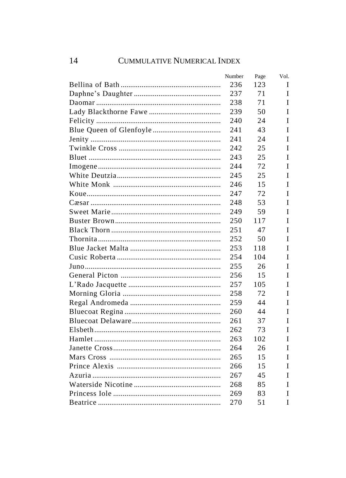| Number | Page | Vol. |
|--------|------|------|
| 236    | 123  | I    |
| 237    | 71   | Ī    |
| 238    | 71   | Ī    |
| 239    | 50   | Ī    |
| 240    | 24   | Ī    |
| 241    | 43   | I    |
| 241    | 24   | I    |
| 2.42   | 25   | I    |
| 243    | 25   | T    |
| 2.44   | 72   | T    |
| 245    | 25   | I    |
| 246    | 15   | I    |
| 2.47   | 72   | I    |
| 248    | 53   | I    |
| 249    | 59   | I    |
| 250    | 117  | T    |
| 251    | 47   | T    |
| 252    | 50   | I    |
| 253    | 118  | T    |
| 254    | 104  | T    |
| 255    | 26   | I    |
| 256    | 15   | I    |
| 257    | 105  | T    |
| 258    | 72   | T    |
| 259    | 44   | Ī    |
| 260    | 44   | Ī    |
| 261    | 37   | Ī    |
| 262    | 73   | Ī    |
| 263    | 102  | I    |
| 264    | 26   | I    |
| 265    | 15   | T    |
| 266    | 15   | I    |
| 267    | 45   | Ī    |
| 268    | 85   | I    |
| 269    | 83   | I    |
| 270    | 51   | I    |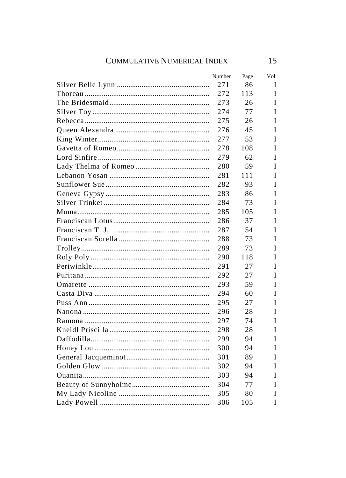| Number | Page | Vol. |
|--------|------|------|
| 271    | 86   | I    |
| 272    | 113  | I    |
| 273    | 26   | I    |
| 274    | 77   | T    |
| 275    | 26   | I    |
| 276    | 45   | I    |
| 277    | 53   | I    |
| 278    | 108  | I    |
| 279    | 62   | I    |
| 280    | 59   | I    |
| 281    | 111  | I    |
| 282    | 93   | I    |
| 283    | 86   | I    |
| 284    | 73   | I    |
| 285    | 105  | I    |
| 286    | 37   | I    |
| 287    | 54   | I    |
| 288    | 73   | I    |
| 289    | 73   | I    |
| 290    | 118  | I    |
| 291    | 27   | I    |
| 292    | 27   | I    |
| 293    | 59   | I    |
| 294    | 60   | I    |
| 295    | 27   | I    |
| 296    | 28   | I    |
| 297    | 74   | T    |
| 298    | 28   | I    |
| 299    | 94   | I    |
| 300    | 94   | I    |
| 301    | 89   | I    |
| 302    | 94   | I    |
| 303    | 94   | T    |
| 304    | 77   | I    |
| 305    | 80   | I    |
| 306    | 105  | I    |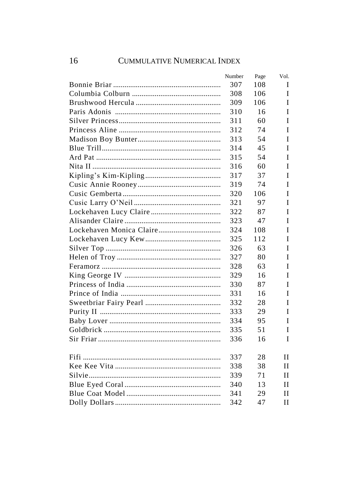| Number | Page | Vol. |
|--------|------|------|
| 307    | 108  | I    |
| 308    | 106  | T    |
| 309    | 106  | I    |
| 310    | 16   | Ī    |
| 311    | 60   | I    |
| 312    | 74   | I    |
| 313    | 54   | I    |
| 314    | 45   | I    |
| 315    | 54   | I    |
| 316    | 60   | I    |
| 317    | 37   | I    |
| 319    | 74   | I    |
| 320    | 106  | I    |
| 321    | 97   | I    |
| 322    | 87   | I    |
| 323    | 47   | I    |
| 324    | 108  | I    |
| 325    | 112  | T    |
| 326    | 63   | T    |
| 327    | 80   | T    |
| 328    | 63   | I    |
| 329    | 16   | I    |
| 330    | 87   | I    |
| 331    | 16   | I    |
| 332    | 28   | I    |
| 333    | 29   | T    |
| 334    | 95   | I    |
| 335    | 51   | I    |
| 336    | 16   | I    |
|        |      |      |
| 337    | 28   | Н    |
| 338    | 38   | Н    |
| 339    | 71   | Н    |
| 340    | 13   | Н    |
| 341    | 29   | Н    |
| 342    | 47   | Н    |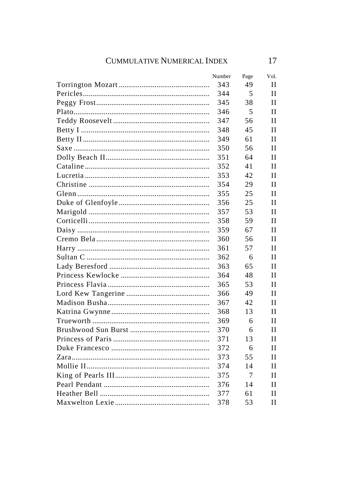| Number | Page | Vol. |
|--------|------|------|
| 343    | 49   | Н    |
| 344    | 5    | Н    |
| 345    | 38   | Н    |
| 346    | 5    | Н    |
| 347    | 56   | Н    |
| 348    | 45   | Н    |
| 349    | 61   | Н    |
| 350    | 56   | Н    |
| 351    | 64   | Н    |
| 352    | 41   | Н    |
| 353    | 42   | Н    |
| 354    | 29   | Н    |
| 355    | 25   | Н    |
| 356    | 25   | Н    |
| 357    | 53   | Н    |
| 358    | 59   | Н    |
| 359    | 67   | Н    |
| 360    | 56   | Н    |
| 361    | 57   | Н    |
| 362    | 6    | Н    |
| 363    | 65   | Н    |
| 364    | 48   | Н    |
| 365    | 53   | Н    |
| 366    | 49   | Н    |
| 367    | 42   | Н    |
| 368    | 13   | Н    |
| 369    | 6    | Н    |
| 370    | 6    | Н    |
| 371    | 13   | Н    |
| 372    | 6    | Н    |
| 373    | 55   | Н    |
| 374    | 14   | Н    |
| 375    | 7    | Н    |
| 376    | 14   | Н    |
| 377    | 61   | Н    |
| 378    | 53   | Н    |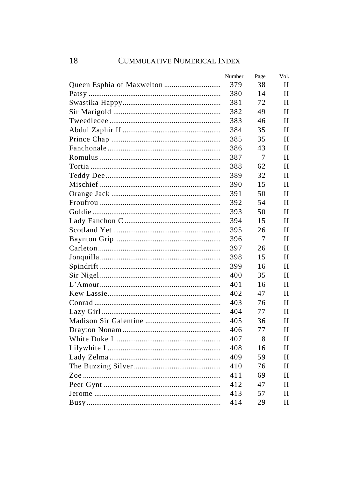| Number | Page | Vol. |
|--------|------|------|
| 379    | 38   | П    |
| 380    | 14   | П    |
| 381    | 72   | П    |
| 382    | 49   | П    |
| 383    | 46   | П    |
| 384    | 35   | П    |
| 385    | 35   | П    |
| 386    | 43   | Н    |
| 387    | 7    | Н    |
| 388    | 62   | Н    |
| 389    | 32   | Н    |
| 390    | 15   | Н    |
| 391    | 50   | Н    |
| 392    | 54   | Н    |
| 393    | 50   | П    |
| 394    | 15   | Н    |
| 395    | 26   | Н    |
| 396    | 7    | Н    |
| 397    | 26   | Н    |
| 398    | 15   | Н    |
| 399    | 16   | Н    |
| 400    | 35   | Н    |
| 401    | 16   | Н    |
| 402    | 47   | Н    |
| 403    | 76   | Н    |
| 404    | 77   | П    |
| 405    | 36   | П    |
| 406    | 77   | П    |
| 407    | 8    | П    |
| 408    | 16   | Н    |
| 409    | 59   | Н    |
| 410    | 76   | Н    |
| 411    | 69   | Н    |
| 412    | 47   | П    |
| 413    | 57   | Н    |
| 414    | 29   | Н    |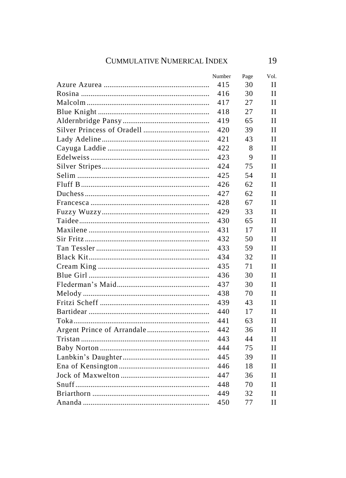| Number | Page | Vol. |
|--------|------|------|
| 415    | 30   | Н    |
| 416    | 30   | Н    |
| 417    | 27   | Н    |
| 418    | 27   | Н    |
| 419    | 65   | Н    |
| 420    | 39   | Н    |
| 421    | 43   | Н    |
| 422    | 8    | Н    |
| 423    | 9    | Н    |
| 424    | 75   | Н    |
| 425    | 54   | Н    |
| 426    | 62   | Н    |
| 427    | 62   | Н    |
| 428    | 67   | Н    |
| 429    | 33   | Н    |
| 430    | 65   | Н    |
| 431    | 17   | Н    |
| 432    | 50   | Н    |
| 433    | 59   | Н    |
| 434    | 32   | Н    |
| 435    | 71   | Н    |
| 436    | 30   | Н    |
| 437    | 30   | Н    |
| 438    | 70   | Н    |
| 439    | 43   | Н    |
| 440    | 17   | Н    |
| 441    | 63   | Н    |
| 442    | 36   | Н    |
| 443    | 44   | Н    |
| 444    | 75   | Н    |
| 445    | 39   | Н    |
| 446    | 18   | Н    |
| 447    | 36   | Н    |
| 448    | 70   | Н    |
| 449    | 32   | Н    |
| 450    | 77   | Н    |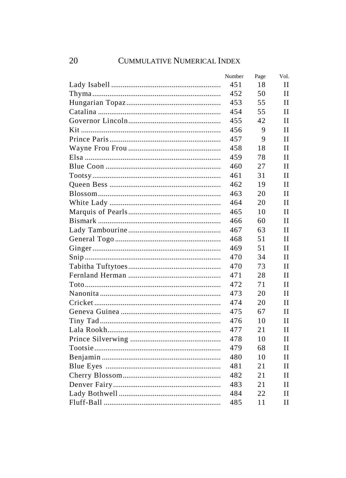| Number | Page | Vol.         |
|--------|------|--------------|
| 451    | 18   | П            |
| 452    | 50   | Н            |
| 453    | 55   | П            |
| 454    | 55   | Н            |
| 455    | 42   | $\mathbf{I}$ |
| 456    | 9    | $_{\rm II}$  |
| 457    | 9    | $\mathbf{I}$ |
| 458    | 18   | Н            |
| 459    | 78   | Н            |
| 460    | 27   | Н            |
| 461    | 31   | Н            |
| 462    | 19   | Н            |
| 463    | 20   | Н            |
| 464    | 20   | Н            |
| 465    | 10   | Н            |
| 466    | 60   | Н            |
| 467    | 63   | П            |
| 468    | 51   | Н            |
| 469    | 51   | Н            |
| 470    | 34   | Н            |
| 470    | 73   | Н            |
| 471    | 28   | Н            |
| 472    | 71   | Н            |
| 473    | 20   | Н            |
| 474    | 20   | Н            |
| 475    | 67   | Н            |
| 476    | 10   | Н            |
| 477    | 21   | Н            |
| 478    | 10   | Н            |
| 479    | 68   | Н            |
| 480    | 10   | Н            |
| 481    | 21   | Н            |
| 482    | 21   | Н            |
| 483    | 21   | Н            |
| 484    | 22   | Н            |
| 485    | 11   | П            |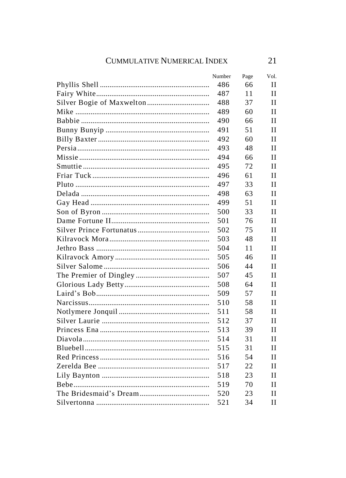| Number | Page | Vol. |
|--------|------|------|
| 486    | 66   | Н    |
| 487    | 11   | Н    |
| 488    | 37   | Н    |
| 489    | 60   | Н    |
| 490    | 66   | Н    |
| 491    | 51   | Н    |
| 492    | 60   | Н    |
| 493    | 48   | Н    |
| 494    | 66   | Н    |
| 495    | 72   | Н    |
| 496    | 61   | Н    |
| 497    | 33   | Н    |
| 498    | 63   | Н    |
| 499    | 51   | Н    |
| 500    | 33   | Н    |
| 501    | 76   | Н    |
| 502    | 75   | Н    |
| 503    | 48   | Н    |
| 504    | 11   | Н    |
| 505    | 46   | Н    |
| 506    | 44   | Н    |
| 507    | 45   | Н    |
| 508    | 64   | Н    |
| 509    | 57   | Н    |
| 510    | 58   | Н    |
| 511    | 58   | Н    |
| 512    | 37   | Н    |
| 513    | 39   | Н    |
| 514    | 31   | Н    |
| 515    | 31   | Н    |
| 516    | 54   | Н    |
| 517    | 22   | Н    |
| 518    | 23   | Н    |
| 519    | 70   | Н    |
| 520    | 23   | Н    |
| 521    | 34   | Н    |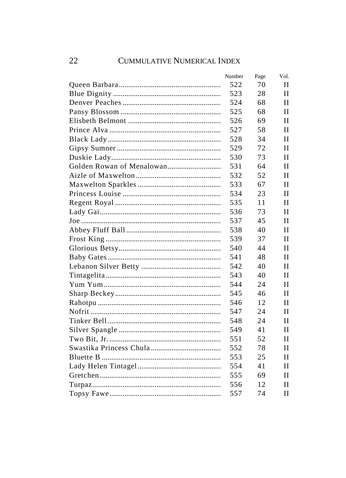| Number | Page | Vol.         |
|--------|------|--------------|
| 522    | 70   | Н            |
| 523    | 28   | Н            |
| 524    | 68   | H            |
| 525    | 68   | Н            |
| 526    | 69   | Н            |
| 527    | 58   | Н            |
| 528    | 34   | $\mathbf{I}$ |
| 529    | 72   | $\mathbf{I}$ |
| 530    | 73   | $\mathbf{I}$ |
| 531    | 64   | $\mathbf{I}$ |
| 532    | 52   | $\mathbf{I}$ |
| 533    | 67   | H            |
| 534    | 23   | H            |
| 535    | 11   | Н            |
| 536    | 73   | Н            |
| 537    | 45   | Н            |
| 538    | 40   | H            |
| 539    | 37   | Н            |
| 540    | 44   | Н            |
| 541    | 48   | $\mathbf{I}$ |
| 542    | 40   | $\mathbf{I}$ |
| 543    | 40   | $\mathbf{I}$ |
| 544    | 24   | Н            |
| 545    | 46   | $\mathbf{I}$ |
| 546    | 12   | Н            |
| 547    | 24   | Н            |
| 548    | 24   | H            |
| 549    | 41   | Н            |
| 551    | 52   | H            |
| 552    | 78   | Н            |
| 553    | 25   | П            |
| 554    | 41   | Н            |
| 555    | 69   | Н            |
| 556    | 12   | Н            |
| 557    | 74   | Н            |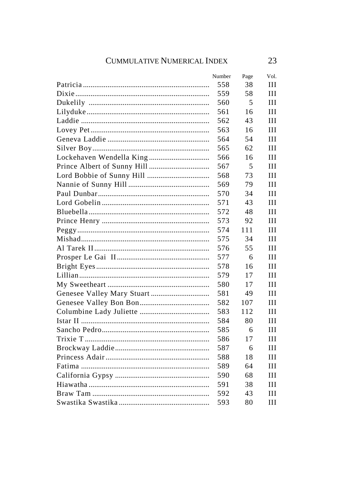| Number | Page | Vol. |
|--------|------|------|
| 558    | 38   | Ш    |
| 559    | 58   | Ш    |
| 560    | 5    | Ш    |
| 561    | 16   | Ш    |
| 562    | 43   | Ш    |
| 563    | 16   | Ш    |
| 564    | 54   | Ш    |
| 565    | 62   | Ш    |
| 566    | 16   | Ш    |
| 567    | 5    | Ш    |
| 568    | 73   | Ш    |
| 569    | 79   | Ш    |
| 570    | 34   | Ш    |
| 571    | 43   | Ш    |
| 572    | 48   | Ш    |
| 573    | 92   | Ш    |
| 574    | 111  | Ш    |
| 575    | 34   | Ш    |
| 576    | 55   | Ш    |
| 577    | 6    | Ш    |
| 578    | 16   | Ш    |
| 579    | 17   | Ш    |
| 580    | 17   | Ш    |
| 581    | 49   | Ш    |
| 582    | 107  | Ш    |
| 583    | 112  | Ш    |
| 584    | 80   | Ш    |
| 585    | 6    | Ш    |
| 586    | 17   | Ш    |
| 587    | 6    | Ш    |
| 588    | 18   | Ш    |
| 589    | 64   | Ш    |
| 590    | 68   | Ш    |
| 591    | 38   | Ш    |
| 592    | 43   | Ш    |
| 593    | 80   | Ш    |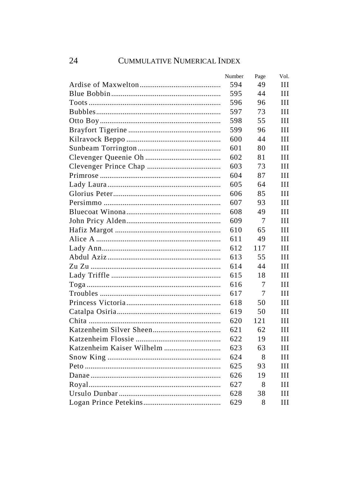| Number | Page | Vol. |
|--------|------|------|
| 594    | 49   | Ш    |
| 595    | 44   | Ш    |
| 596    | 96   | Ш    |
| 597    | 73   | Ш    |
| 598    | 55   | Ш    |
| 599    | 96   | Ш    |
| 600    | 44   | Ш    |
| 601    | 80   | Ш    |
| 602    | 81   | Ш    |
| 603    | 73   | Ш    |
| 604    | 87   | Ш    |
| 605    | 64   | Ш    |
| 606    | 85   | Ш    |
| 607    | 93   | Ш    |
| 608    | 49   | Ш    |
| 609    | 7    | Ш    |
| 610    | 65   | Ш    |
| 611    | 49   | Ш    |
| 612    | 117  | Ш    |
| 613    | 55   | Ш    |
| 614    | 44   | Ш    |
| 615    | 18   | Ш    |
| 616    | 7    | Ш    |
| 617    | 7    | Ш    |
| 618    | 50   | Ш    |
| 619    | 50   | Ш    |
| 620    | 121  | Ш    |
| 621    | 62   | Ш    |
| 622    | 19   | Ш    |
| 623    | 63   | Ш    |
| 624    | 8    | Ш    |
| 625    | 93   | Ш    |
| 626    | 19   | Ш    |
| 627    | 8    | Ш    |
| 628    | 38   | Ш    |
| 629    | 8    | Ш    |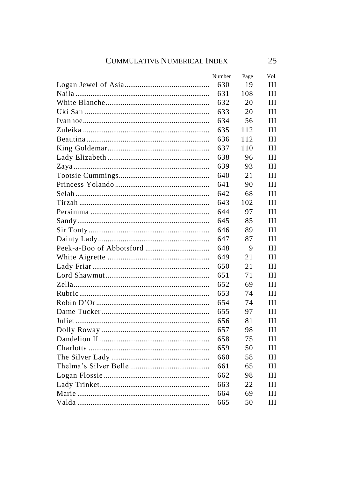| Number | Page | Vol. |
|--------|------|------|
| 630    | 19   | Ш    |
| 631    | 108  | Ш    |
| 632    | 20   | Ш    |
| 633    | 20   | Ш    |
| 634    | 56   | Ш    |
| 635    | 112  | Ш    |
| 636    | 112  | Ш    |
| 637    | 110  | Ш    |
| 638    | 96   | Ш    |
| 639    | 93   | Ш    |
| 640    | 21   | Ш    |
| 641    | 90   | Ш    |
| 642    | 68   | Ш    |
| 643    | 102  | Ш    |
| 644    | 97   | Ш    |
| 645    | 85   | Ш    |
| 646    | 89   | Ш    |
| 647    | 87   | Ш    |
| 648    | 9    | Ш    |
| 649    | 21   | Ш    |
| 650    | 21   | Ш    |
| 651    | 71   | Ш    |
| 652    | 69   | Ш    |
| 653    | 74   | Ш    |
| 654    | 74   | Ш    |
| 655    | 97   | Ш    |
| 656    | 81   | Ш    |
| 657    | 98   | Ш    |
| 658    | 75   | Ш    |
| 659    | 50   | Ш    |
| 660    | 58   | Ш    |
| 661    | 65   | Ш    |
| 662    | 98   | Ш    |
| 663    | 22   | Ш    |
| 664    | 69   | Ш    |
| 665    | 50   | Ш    |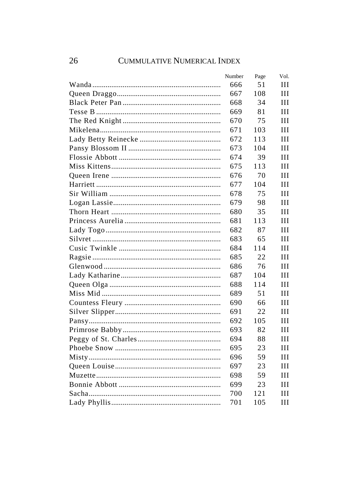| Number | Page | Vol. |
|--------|------|------|
| 666    | 51   | Ш    |
| 667    | 108  | Ш    |
| 668    | 34   | Ш    |
| 669    | 81   | Ш    |
| 670    | 75   | Ш    |
| 671    | 103  | Ш    |
| 672    | 113  | Ш    |
| 673    | 104  | Ш    |
| 674    | 39   | Ш    |
| 675    | 113  | Ш    |
| 676    | 70   | Ш    |
| 677    | 104  | Ш    |
| 678    | 75   | Ш    |
| 679    | 98   | Ш    |
| 680    | 35   | Ш    |
| 681    | 113  | Ш    |
| 682    | 87   | Ш    |
| 683    | 65   | Ш    |
| 684    | 114  | Ш    |
| 685    | 22   | Ш    |
| 686    | 76   | Ш    |
| 687    | 104  | Ш    |
| 688    | 114  | Ш    |
| 689    | 51   | Ш    |
| 690    | 66   | Ш    |
| 691    | 22   | Ш    |
| 692    | 105  | Ш    |
| 693    | 82   | Ш    |
| 694    | 88   | Ш    |
| 695    | 23   | Ш    |
| 696    | 59   | Ш    |
| 697    | 23   | Ш    |
| 698    | 59   | Ш    |
| 699    | 23   | Ш    |
| 700    | 121  | Ш    |
| 701    | 105  | Ш    |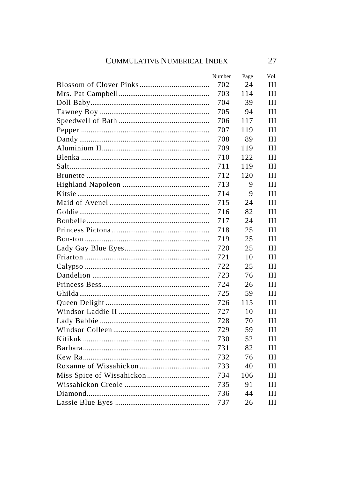| Number | Page | Vol. |
|--------|------|------|
| 702    | 24   | Ш    |
| 703    | 114  | Ш    |
| 704    | 39   | Ш    |
| 705    | 94   | Ш    |
| 706    | 117  | Ш    |
| 707    | 119  | Ш    |
| 708    | 89   | Ш    |
| 709    | 119  | Ш    |
| 710    | 122  | Ш    |
| 711    | 119  | Ш    |
| 712    | 120  | Ш    |
| 713    | 9    | Ш    |
| 714    | 9    | Ш    |
| 715    | 24   | Ш    |
| 716    | 82   | Ш    |
| 717    | 24   | Ш    |
| 718    | 25   | Ш    |
| 719    | 25   | Ш    |
| 720    | 25   | Ш    |
| 721    | 10   | Ш    |
| 722    | 25   | Ш    |
| 723    | 76   | Ш    |
| 724    | 26   | Ш    |
| 725    | 59   | Ш    |
| 726    | 115  | Ш    |
| 727    | 10   | Ш    |
| 728    | 70   | Ш    |
| 729    | 59   | Ш    |
| 730    | 52   | Ш    |
| 731    | 82   | Ш    |
| 732    | 76   | Ш    |
| 733    | 40   | Ш    |
| 734    | 106  | Ш    |
| 735    | 91   | Ш    |
| 736    | 44   | Ш    |
| 737    | 26   | Ш    |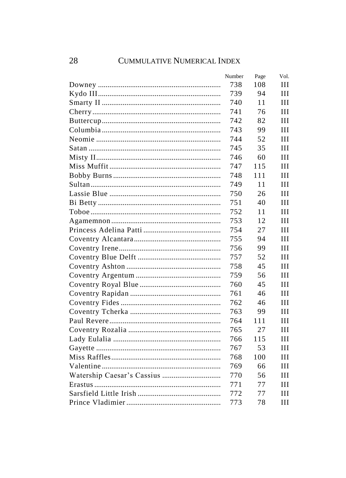| Number | Page | Vol. |
|--------|------|------|
| 738    | 108  | Ш    |
| 739    | 94   | Ш    |
| 740    | 11   | Ш    |
| 741    | 76   | Ш    |
| 742    | 82   | Ш    |
| 743    | 99   | Ш    |
| 744    | 52   | Ш    |
| 745    | 35   | Ш    |
| 746    | 60   | Ш    |
| 747    | 115  | Ш    |
| 748    | 111  | Ш    |
| 749    | 11   | Ш    |
| 750    | 26   | Ш    |
| 751    | 40   | Ш    |
| 752    | 11   | Ш    |
| 753    | 12   | Ш    |
| 754    | 27   | Ш    |
| 755    | 94   | Ш    |
| 756    | 99   | Ш    |
| 757    | 52   | Ш    |
| 758    | 45   | Ш    |
| 759    | 56   | Ш    |
| 760    | 45   | Ш    |
| 761    | 46   | Ш    |
| 762    | 46   | Ш    |
| 763    | 99   | Ш    |
| 764    | 111  | Ш    |
| 765    | 27   | Ш    |
| 766    | 115  | Ш    |
| 767    | 53   | Ш    |
| 768    | 100  | Ш    |
| 769    | 66   | Ш    |
| 770    | 56   | Ш    |
| 771    | 77   | Ш    |
| 772    | 77   | Ш    |
| 773    | 78   | Ш    |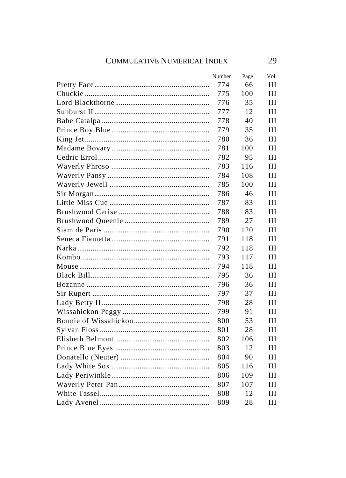| Number | Page | Vol. |
|--------|------|------|
| 774    | 66   | Ш    |
| 775    | 100  | Ш    |
| 776    | 35   | Ш    |
| 777    | 12   | Ш    |
| 778    | 40   | Ш    |
| 779    | 35   | Ш    |
| 780    | 36   | Ш    |
| 781    | 100  | Ш    |
| 782    | 95   | Ш    |
| 783    | 116  | Ш    |
| 784    | 108  | Ш    |
| 785    | 100  | Ш    |
| 786    | 46   | Ш    |
| 787    | 83   | Ш    |
| 788    | 83   | Ш    |
| 789    | 27   | Ш    |
| 790    | 120  | Ш    |
| 791    | 118  | Ш    |
| 792    | 118  | Ш    |
| 793    | 117  | Ш    |
| 794    | 118  | Ш    |
| 795    | 36   | Ш    |
| 796    | 36   | Ш    |
| 797    | 37   | Ш    |
| 798    | 28   | Ш    |
| 799    | 91   | Ш    |
| 800    | 53   | Ш    |
| 801    | 28   | Ш    |
| 802    | 106  | Ш    |
| 803    | 12   | Ш    |
| 804    | 90   | Ш    |
| 805    | 116  | Ш    |
| 806    | 109  | Ш    |
| 807    | 107  | Ш    |
| 808    | 12   | Ш    |
| 809    | 28   | Ш    |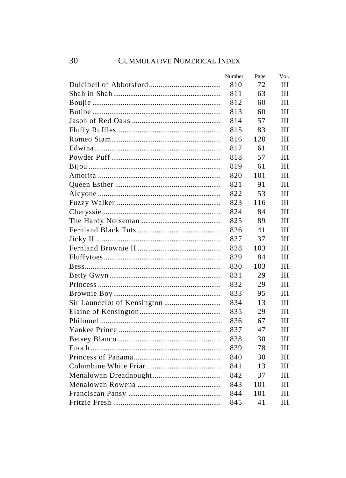| Number | Page | Vol. |
|--------|------|------|
| 810    | 72   | Ш    |
| 811    | 63   | Ш    |
| 812    | 60   | Ш    |
| 813    | 60   | Ш    |
| 814    | 57   | Ш    |
| 815    | 83   | Ш    |
| 816    | 120  | Ш    |
| 817    | 61   | Ш    |
| 818    | 57   | Ш    |
| 819    | 61   | Ш    |
| 820    | 101  | Ш    |
| 821    | 91   | Ш    |
| 822    | 53   | Ш    |
| 823    | 116  | Ш    |
| 824    | 84   | Ш    |
| 825    | 89   | Ш    |
| 826    | 41   | Ш    |
| 827    | 37   | Ш    |
| 828    | 103  | Ш    |
| 829    | 84   | Ш    |
| 830    | 103  | Ш    |
| 831    | 29   | Ш    |
| 832    | 29   | Ш    |
| 833    | 95   | Ш    |
| 834    | 13   | Ш    |
| 835    | 29   | Ш    |
| 836    | 67   | Ш    |
| 837    | 47   | Ш    |
| 838    | 30   | Ш    |
| 839    | 78   | Ш    |
| 840    | 30   | Ш    |
| 841    | 13   | Ш    |
| 842    | 37   | Ш    |
| 843    | 101  | Ш    |
| 844    | 101  | Ш    |
| 845    | 41   | Ш    |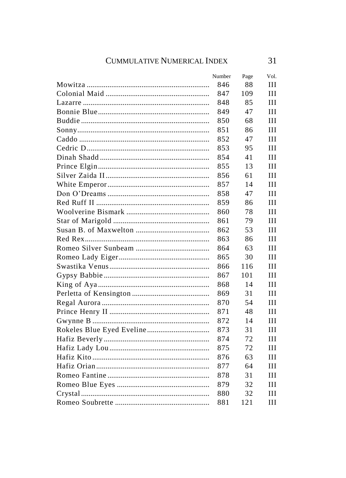| Number | Page | Vol. |
|--------|------|------|
| 846    | 88   | Ш    |
| 847    | 109  | Ш    |
| 848    | 85   | Ш    |
| 849    | 47   | Ш    |
| 850    | 68   | Ш    |
| 851    | 86   | Ш    |
| 852    | 47   | Ш    |
| 853    | 95   | Ш    |
| 854    | 41   | Ш    |
| 855    | 13   | Ш    |
| 856    | 61   | Ш    |
| 857    | 14   | Ш    |
| 858    | 47   | Ш    |
| 859    | 86   | Ш    |
| 860    | 78   | Ш    |
| 861    | 79   | Ш    |
| 862    | 53   | Ш    |
| 863    | 86   | Ш    |
| 864    | 63   | Ш    |
| 865    | 30   | Ш    |
| 866    | 116  | Ш    |
| 867    | 101  | Ш    |
| 868    | 14   | Ш    |
| 869    | 31   | Ш    |
| 870    | 54   | Ш    |
| 871    | 48   | Ш    |
| 872    | 14   | Ш    |
| 873    | 31   | Ш    |
| 874    | 72   | Ш    |
| 875    | 72   | Ш    |
| 876    | 63   | Ш    |
| 877    | 64   | Ш    |
| 878    | 31   | Ш    |
| 879    | 32   | Ш    |
| 880    | 32   | Ш    |
| 881    | 121  | Ш    |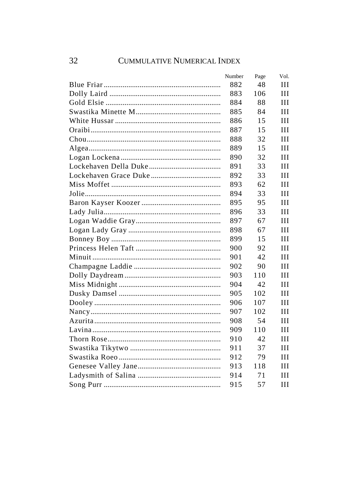| Number | Page | Vol. |
|--------|------|------|
| 882    | 48   | Ш    |
| 883    | 106  | Ш    |
| 884    | 88   | Ш    |
| 885    | 84   | Ш    |
| 886    | 15   | Ш    |
| 887    | 15   | Ш    |
| 888    | 32   | Ш    |
| 889    | 15   | Ш    |
| 890    | 32   | Ш    |
| 891    | 33   | Ш    |
| 892    | 33   | Ш    |
| 893    | 62   | Ш    |
| 894    | 33   | Ш    |
| 895    | 95   | Ш    |
| 896    | 33   | Ш    |
| 897    | 67   | Ш    |
| 898    | 67   | Ш    |
| 899    | 15   | Ш    |
| 900    | 92   | Ш    |
| 901    | 42   | HН   |
| 902    | 90   | Ш    |
| 903    | 110  | Ш    |
| 904    | 42   | Ш    |
| 905    | 102  | Ш    |
| 906    | 107  | Ш    |
| 907    | 102  | Ш    |
| 908    | 54   | Ш    |
| 909    | 110  | Ш    |
| 910    | 42   | Ш    |
| 911    | 37   | Ш    |
| 912    | 79   | Ш    |
| 913    | 118  | Ш    |
| 914    | 71   | Ш    |
| 915    | 57   | Ш    |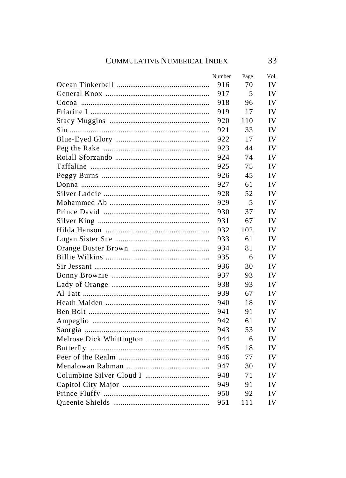| Number | Page | Vol. |
|--------|------|------|
| 916    | 70   | IV   |
| 917    | 5    | IV   |
| 918    | 96   | IV   |
| 919    | 17   | IV   |
| 920    | 110  | IV   |
| 921    | 33   | IV   |
| 922    | 17   | IV   |
| 923    | 44   | IV   |
| 924    | 74   | IV   |
| 925    | 75   | IV   |
| 926    | 45   | IV   |
| 927    | 61   | IV   |
| 928    | 52   | IV   |
| 929    | 5    | IV   |
| 930    | 37   | IV   |
| 931    | 67   | IV   |
| 932    | 102  | IV   |
| 933    | 61   | IV   |
| 934    | 81   | IV   |
| 935    | 6    | IV   |
| 936    | 30   | IV   |
| 937    | 93   | IV   |
| 938    | 93   | IV   |
| 939    | 67   | IV   |
| 940    | 18   | IV   |
| 941    | 91   | IV   |
| 942    | 61   | IV   |
| 943    | 53   | IV   |
| 944    | 6    | IV   |
| 945    | 18   | IV   |
| 946    | 77   | IV   |
| 947    | 30   | IV   |
| 948    | 71   | IV   |
| 949    | 91   | IV   |
| 950    | 92   | IV   |
| 951    | 111  | IV   |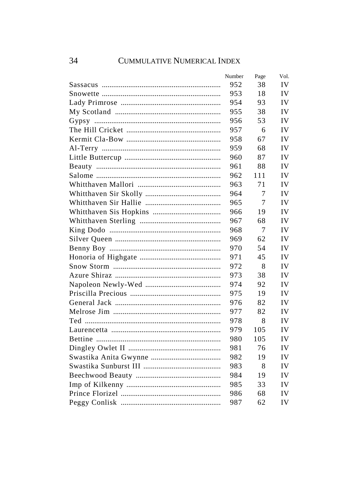| Number | Page | Vol. |
|--------|------|------|
| 952    | 38   | IV   |
| 953    | 18   | IV   |
| 954    | 93   | IV   |
| 955    | 38   | IV   |
| 956    | 53   | IV   |
| 957    | 6    | IV   |
| 958    | 67   | IV   |
| 959    | 68   | IV   |
| 960    | 87   | IV   |
| 961    | 88   | IV   |
| 962    | 111  | IV   |
| 963    | 71   | IV   |
| 964    | 7    | IV   |
| 965    | 7    | IV   |
| 966    | 19   | IV   |
| 967    | 68   | IV   |
| 968    | 7    | IV   |
| 969    | 62   | IV   |
| 970    | 54   | IV   |
| 971    | 45   | IV   |
| 972    | 8    | IV   |
| 973    | 38   | IV   |
| 974    | 92   | IV   |
| 975    | 19   | IV   |
| 976    | 82   | IV   |
| 977    | 82   | IV   |
| 978    | 8    | IV   |
| 979    | 105  | IV   |
| 980    | 105  | IV   |
| 981    | 76   | IV   |
| 982    | 19   | IV   |
| 983    | 8    | IV   |
| 984    | 19   | IV   |
| 985    | 33   | IV   |
| 986    | 68   | IV   |
| 987    | 62   | IV   |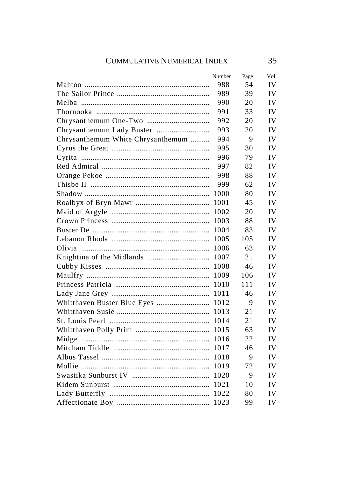|                                   | Number | Page | Vol. |
|-----------------------------------|--------|------|------|
|                                   | 988    | 54   | IV   |
|                                   | 989    | 39   | IV   |
|                                   | 990    | 20   | IV   |
|                                   | 991    | 33   | IV   |
|                                   | 992    | 20   | IV   |
|                                   | 993    | 20   | IV   |
| Chrysanthemum White Chrysanthemum | 994    | 9    | IV   |
|                                   | 995    | 30   | IV   |
|                                   | 996    | 79   | IV   |
|                                   | 997    | 82   | IV   |
|                                   | 998    | 88   | IV   |
|                                   | 999    | 62   | IV   |
|                                   | 1000   | 80   | IV   |
|                                   | 1001   | 45   | IV   |
|                                   |        | 20   | IV   |
|                                   |        | 88   | IV   |
|                                   |        | 83   | IV   |
|                                   |        | 105  | IV   |
|                                   |        | 63   | IV   |
|                                   |        | 21   | IV   |
|                                   |        | 46   | IV   |
|                                   |        | 106  | IV   |
|                                   |        | 111  | IV   |
|                                   |        | 46   | IV   |
|                                   |        | 9    | IV   |
|                                   |        | 21   | IV   |
|                                   |        | 21   | IV   |
|                                   |        | 63   | IV   |
|                                   |        | 22   | IV   |
|                                   |        | 46   | IV   |
|                                   |        | 9    | IV   |
|                                   |        | 72   | IV   |
|                                   |        | 9    | IV   |
|                                   |        | 10   | IV   |
|                                   |        | 80   | IV   |
|                                   |        | 99   | IV   |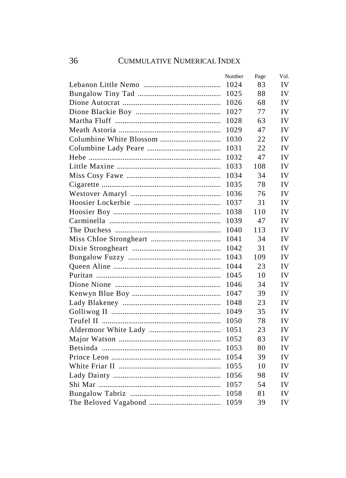| Number | Page | Vol. |
|--------|------|------|
| 1024   | 83   | IV   |
| 1025   | 88   | IV   |
| 1026   | 68   | IV   |
| 1027   | 77   | IV   |
| 1028   | 63   | IV   |
| 1029   | 47   | IV   |
| 1030   | 22   | IV   |
| 1031   | 22   | IV   |
| 1032   | 47   | IV   |
| 1033   | 108  | IV   |
| 1034   | 34   | IV   |
| 1035   | 78   | IV   |
| 1036   | 76   | IV   |
| 1037   | 31   | IV   |
| 1038   | 110  | IV   |
| 1039   | 47   | IV   |
| 1040   | 113  | IV   |
| 1041   | 34   | IV   |
| 1042   | 31   | IV   |
| 1043   | 109  | IV   |
| 1044   | 23   | IV   |
| 1045   | 10   | IV   |
| 1046   | 34   | IV   |
| 1047   | 39   | IV   |
| 1048   | 23   | IV   |
| 1049   | 35   | IV   |
| 1050   | 78   | IV   |
| 1051   | 23   | IV   |
| 1052   | 83   | IV   |
| 1053   | 80   | IV   |
| 1054   | 39   | IV   |
| 1055   | 10   | IV   |
| 1056   | 98   | IV   |
| 1057   | 54   | IV   |
| 1058   | 81   | IV   |
| 1059   | 39   | IV   |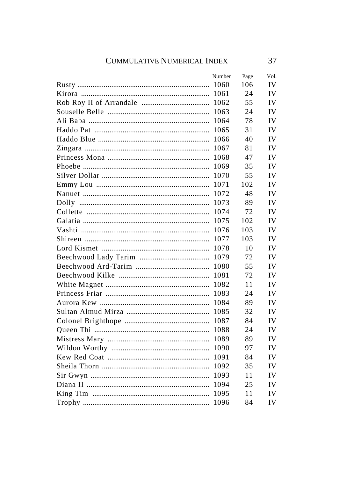| Number | Page | Vol. |
|--------|------|------|
| 1060   | 106  | IV   |
| 1061   | 24   | IV   |
| 1062   | 55   | IV   |
| 1063   | 24   | IV   |
| 1064   | 78   | IV   |
| 1065   | 31   | IV   |
| 1066   | 40   | IV   |
| 1067   | 81   | IV   |
| 1068   | 47   | IV   |
| 1069   | 35   | IV   |
| 1070   | 55   | IV   |
| 1071   | 102  | IV   |
| 1072   | 48   | IV   |
| 1073   | 89   | IV   |
| 1074   | 72   | IV   |
|        | 102  | IV   |
|        | 103  | IV   |
| 1077   | 103  | IV   |
|        | 10   | IV   |
|        | 72   | IV   |
| 1080   | 55   | IV   |
| 1081   | 72   | IV   |
| 1082   | 11   | IV   |
| 1083   | 24   | IV   |
| 1084   | 89   | IV   |
| 1085   | 32   | IV   |
| 1087   | 84   | IV   |
| 1088   | 24   | IV   |
| 1089   | 89   | IV   |
| 1090   | 97   | IV   |
| 1091   | 84   | IV   |
| 1092   | 35   | IV   |
| 1093   | 11   | IV   |
| 1094   | 25   | IV   |
| 1095   | 11   | IV   |
| 1096   | 84   | IV   |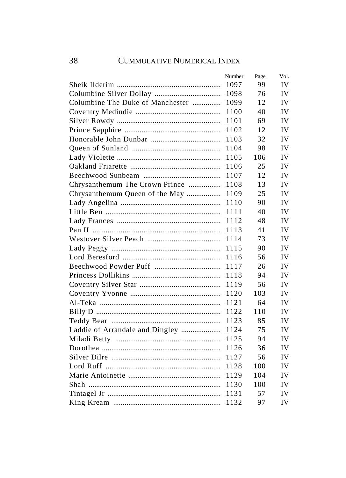|                                  | Number | Page | Vol. |
|----------------------------------|--------|------|------|
|                                  | 1097   | 99   | IV   |
|                                  | 1098   | 76   | IV   |
| Columbine The Duke of Manchester | 1099   | 12   | IV   |
|                                  | 1100   | 40   | IV   |
|                                  | 1101   | 69   | IV   |
|                                  | 1102   | 12   | IV   |
|                                  | 1103   | 32   | IV   |
|                                  | 1104   | 98   | IV   |
|                                  | 1105   | 106  | IV   |
|                                  | 1106   | 25   | IV   |
|                                  | 1107   | 12   | IV   |
| Chrysanthemum The Crown Prince   | 1108   | 13   | IV   |
|                                  | 1109   | 25   | IV   |
|                                  | 1110   | 90   | IV   |
|                                  | 1111   | 40   | IV   |
|                                  | 1112   | 48   | IV   |
|                                  | 1113   | 41   | IV   |
|                                  | 1114   | 73   | IV   |
|                                  | 1115   | 90   | IV   |
|                                  | 1116   | 56   | IV   |
|                                  | 1117   | 26   | IV   |
|                                  | 1118   | 94   | IV   |
|                                  | 1119   | 56   | IV   |
|                                  | 1120   | 103  | IV   |
|                                  | 1121   | 64   | IV   |
|                                  | 1122   | 110  | IV   |
|                                  | 1123   | 85   | IV   |
|                                  | 1124   | 75   | IV   |
|                                  | 1125   | 94   | IV   |
|                                  | 1126   | 36   | IV   |
|                                  | 1127   | 56   | IV   |
|                                  | 1128   | 100  | IV   |
|                                  | 1129   | 104  | IV   |
|                                  | 1130   | 100  | IV   |
|                                  | 1131   | 57   | IV   |
|                                  | 1132   | 97   | IV   |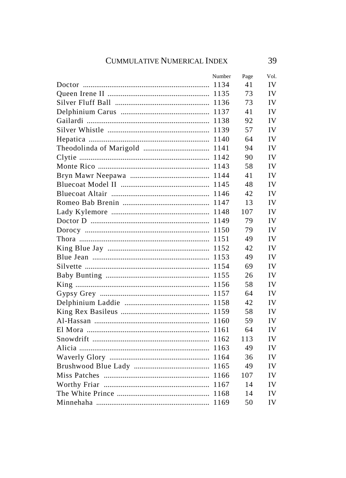| Number | Page | Vol. |
|--------|------|------|
| 1134   | 41   | IV   |
|        | 73   | IV   |
|        | 73   | IV   |
| 1137   | 41   | IV   |
| 1138   | 92   | IV   |
| 1139   | 57   | IV   |
| 1140   | 64   | IV   |
| 1141   | 94   | IV   |
| 1142   | 90   | IV   |
| 1143   | 58   | IV   |
|        | 41   | IV   |
|        | 48   | IV   |
|        | 42   | IV   |
|        | 13   | IV   |
|        | 107  | IV   |
|        | 79   | IV   |
|        | 79   | IV   |
|        | 49   | IV   |
|        | 42   | IV   |
|        | 49   | IV   |
|        | 69   | IV   |
| 1155   | 26   | IV   |
| 1156   | 58   | IV   |
| 1157   | 64   | IV   |
| 1158   | 42   | IV   |
| 1159   | 58   | IV   |
| 1160   | 59   | IV   |
| 1161   | 64   | IV   |
| 1162   | 113  | IV   |
| 1163   | 49   | IV   |
| 1164   | 36   | IV   |
|        | 49   | IV   |
| 1166   | 107  | IV   |
|        | 14   | IV   |
|        | 14   | IV   |
| 1169   | 50   | IV   |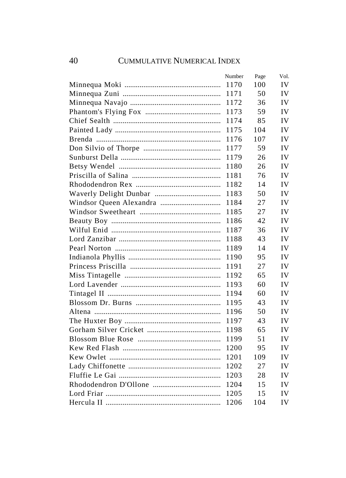| Number | Page | Vol. |
|--------|------|------|
| 1170   | 100  | IV   |
| 1171   | 50   | IV   |
| 1172   | 36   | IV   |
| 1173   | 59   | IV   |
| 1174   | 85   | IV   |
| 1175   | 104  | IV   |
| 1176   | 107  | IV   |
| 1177   | 59   | IV   |
| 1179   | 26   | IV   |
| 1180   | 26   | IV   |
| 1181   | 76   | IV   |
| 1182   | 14   | IV   |
| 1183   | 50   | IV   |
| 1184   | 27   | IV   |
| 1185   | 27   | IV   |
| 1186   | 42   | IV   |
| 1187   | 36   | IV   |
| 1188   | 43   | IV   |
| 1189   | 14   | IV   |
| 1190   | 95   | IV   |
| 1191   | 27   | IV   |
| 1192   | 65   | IV   |
| 1193   | 60   | IV   |
| 1194   | 60   | IV   |
| 1195   | 43   | IV   |
| 1196   | 50   | IV   |
| 1197   | 43   | IV   |
| 1198   | 65   | IV   |
| 1199   | 51   | IV   |
| 1200   | 95   | IV   |
| 1201   | 109  | IV   |
| 1202   | 27   | IV   |
| 1203   | 28   | IV   |
| 1204   | 15   | IV   |
| 1205   | 15   | IV   |
| 1206   | 104  | IV   |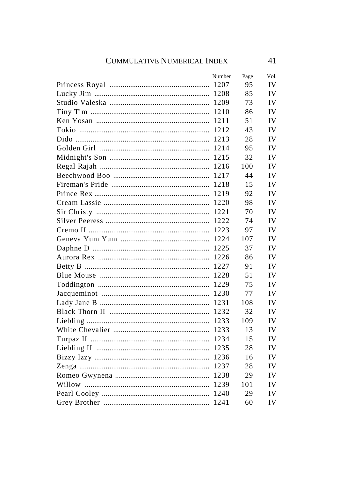| Number | Page | Vol. |
|--------|------|------|
|        | 95   | IV   |
|        | 85   | IV   |
| 1209   | 73   | IV   |
| 1210   | 86   | IV   |
| 1211   | 51   | IV   |
| 1212   | 43   | IV   |
| 1213   | 28   | IV   |
| 1214   | 95   | IV   |
| 1215   | 32   | IV   |
|        | 100  | IV   |
| 1217   | 44   | IV   |
|        | 15   | IV   |
|        | 92   | IV   |
|        | 98   | IV   |
|        | 70   | IV   |
|        | 74   | IV   |
|        | 97   | IV   |
|        | 107  | IV   |
|        | 37   | IV   |
|        | 86   | IV   |
|        | 91   | IV   |
| 1228   | 51   | IV   |
| 1229   | 75   | IV   |
| 1230   | 77   | IV   |
| 1231   | 108  | IV   |
| 1232   | 32   | IV   |
| 1233   | 109  | IV   |
| 1233   | 13   | IV   |
| 1234   | 15   | IV   |
| 1235   | 28   | IV   |
| 1236   | 16   | IV   |
| 1237   | 28   | IV   |
|        | 29   | IV   |
|        | 101  | IV   |
|        | 29   | IV   |
|        | 60   | IV   |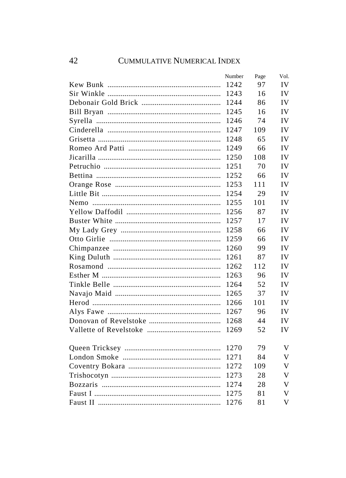| Number | Page | Vol. |
|--------|------|------|
| 1242   | 97   | IV   |
| 1243   | 16   | IV   |
| 1244   | 86   | IV   |
| 1245   | 16   | IV   |
| 1246   | 74   | IV   |
| 1247   | 109  | IV   |
| 1248   | 65   | IV   |
| 1249   | 66   | IV   |
| 1250   | 108  | IV   |
| 1251   | 70   | IV   |
| 1252   | 66   | IV   |
| 1253   | 111  | IV   |
| 1254   | 29   | IV   |
| 1255   | 101  | IV   |
| 1256   | 87   | IV   |
| 1257   | 17   | IV   |
| 1258   | 66   | IV   |
| 1259   | 66   | IV   |
| 1260   | 99   | IV   |
| 1261   | 87   | IV   |
| 1262   | 112  | IV   |
| 1263   | 96   | IV   |
| 1264   | 52   | IV   |
| 1265   | 37   | IV   |
| 1266   | 101  | IV   |
| 1267   | 96   | IV   |
| 1268   | 44   | IV   |
| 1269   | 52   | IV   |
|        |      |      |
| 1270   | 79   | V    |
| 1271   | 84   | V    |
| 1272   | 109  | V    |
| 1273   | 28   | V    |
| 1274   | 28   | V    |
| 1275   | 81   | V    |
| 1276   | 81   | V    |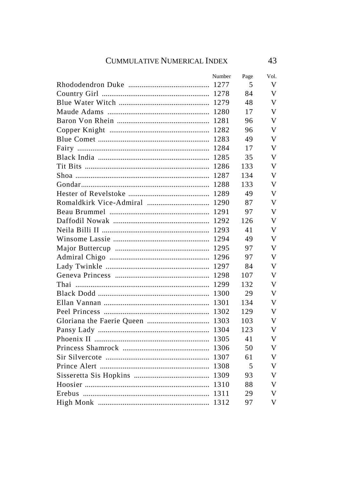| Number | Page | Vol. |
|--------|------|------|
|        | 5    | V    |
|        | 84   | V    |
|        | 48   | V    |
|        | 17   | v    |
|        | 96   | V    |
|        | 96   | V    |
|        | 49   | V    |
| 1284   | 17   | V    |
| 1285   | 35   | V    |
|        | 133  | V    |
|        | 134  | V    |
|        | 133  | V    |
|        | 49   | V    |
|        | 87   | V    |
|        | 97   | v    |
|        | 126  | V    |
|        | 41   | V    |
|        | 49   | V    |
|        | 97   | V    |
|        | 97   | V    |
|        | 84   | V    |
|        | 107  | V    |
| 1299   | 132  | V    |
|        | 29   | V    |
| 1301   | 134  | V    |
| 1302   | 129  | V    |
|        | 103  | V    |
| 1304   | 123  | V    |
|        | 41   | V    |
|        | 50   | V    |
|        | 61   | V    |
|        | 5    | V    |
|        | 93   | v    |
|        | 88   | V    |
|        | 29   | V    |
|        | 97   | V    |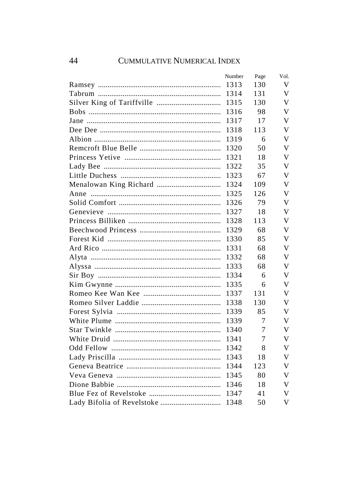| Number | Page | Vol. |
|--------|------|------|
| 1313   | 130  | V    |
| 1314   | 131  | V    |
| 1315   | 130  | V    |
| 1316   | 98   | V    |
| 1317   | 17   | V    |
| 1318   | 113  | V    |
| 1319   | 6    | V    |
| 1320   | 50   | V    |
| 1321   | 18   | V    |
| 1322   | 35   | V    |
| 1323   | 67   | V    |
| 1324   | 109  | V    |
| 1325   | 126  | V    |
| 1326   | 79   | V    |
| 1327   | 18   | V    |
| 1328   | 113  | V    |
| 1329   | 68   | V    |
| 1330   | 85   | V    |
| 1331   | 68   | V    |
| 1332   | 68   | V    |
| 1333   | 68   | V    |
| 1334   | 6    | V    |
| 1335   | 6    | V    |
| 1337   | 131  | V    |
| 1338   | 130  | V    |
| 1339   | 85   | V    |
| 1339   | 7    | V    |
| 1340   | 7    | V    |
| 1341   | 7    | V    |
| 1342   | 8    | V    |
| 1343   | 18   | V    |
| 1344   | 123  | V    |
| 1345   | 80   | V    |
| 1346   | 18   | v    |
| 1347   | 41   | V    |
| 1348   | 50   | V    |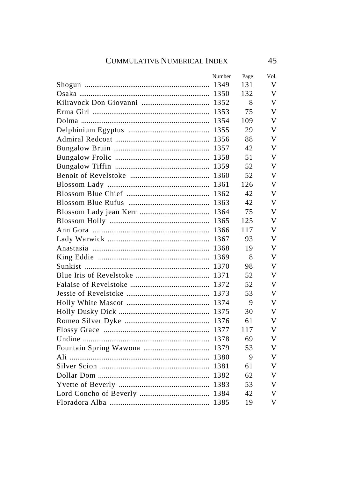| Number | Page | Vol. |
|--------|------|------|
| 1349   | 131  | V    |
| 1350   | 132  | V    |
|        | 8    | V    |
| 1353   | 75   | V    |
| 1354   | 109  | V    |
| 1355   | 29   | V    |
| 1356   | 88   | V    |
| 1357   | 42   | V    |
|        | 51   | V    |
|        | 52   | V    |
|        | 52   | V    |
|        | 126  | V    |
|        | 42   | v    |
|        | 42   | V    |
|        | 75   | v    |
|        | 125  | V    |
|        | 117  | V    |
|        | 93   | V    |
|        | 19   | V    |
|        | 8    | V    |
|        | 98   | V    |
| 1371   | 52   | V    |
|        | 52   | V    |
| 1373   | 53   | V    |
|        | 9    | V    |
|        | 30   | V    |
|        | 61   | V    |
| 1377   | 117  | V    |
| 1378   | 69   | V    |
|        | 53   | V    |
|        | 9    | V    |
|        | 61   | V    |
|        | 62   | V    |
|        | 53   | V    |
|        | 42   | V    |
|        | 19   | V    |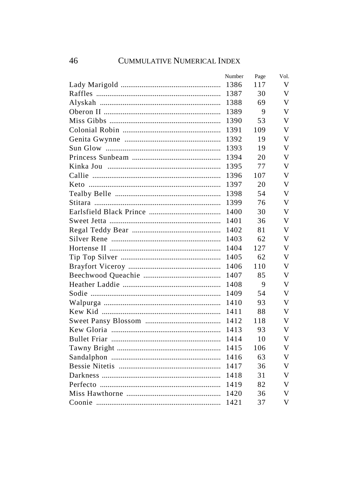| Number | Page | Vol. |
|--------|------|------|
| 1386   | 117  | V    |
| 1387   | 30   | V    |
| 1388   | 69   | V    |
| 1389   | 9    | V    |
| 1390   | 53   | V    |
| 1391   | 109  | V    |
| 1392   | 19   | V    |
| 1393   | 19   | V    |
| 1394   | 20   | V    |
| 1395   | 77   | V    |
| 1396   | 107  | V    |
| 1397   | 20   | V    |
| 1398   | 54   | V    |
| 1399   | 76   | V    |
| 1400   | 30   | V    |
| 1401   | 36   | V    |
| 1402   | 81   | V    |
| 1403   | 62   | V    |
| 1404   | 127  | V    |
| 1405   | 62   | V    |
| 1406   | 110  | V    |
| 1407   | 85   | V    |
| 1408   | 9    | V    |
| 1409   | 54   | V    |
| 1410   | 93   | V    |
| 1411   | 88   | V    |
| 1412   | 118  | V    |
| 1413   | 93   | V    |
| 1414   | 10   | V    |
| 1415   | 106  | V    |
| 1416   | 63   | V    |
| 1417   | 36   | V    |
| 1418   | 31   | V    |
| 1419   | 82   | V    |
| 1420   | 36   | V    |
| 1421   | 37   | V    |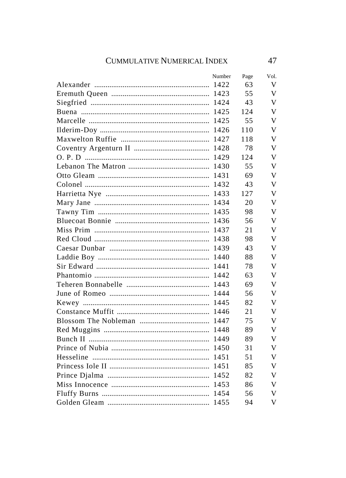| Number | Page | Vol. |
|--------|------|------|
|        | 63   | V    |
|        | 55   | V    |
|        | 43   | v    |
|        | 124  | v    |
|        | 55   | v    |
|        | 110  | V    |
|        | 118  | v    |
|        | 78   | v    |
|        | 124  | v    |
|        | 55   | v    |
|        | 69   | v    |
|        | 43   | v    |
|        | 127  | v    |
|        | 20   | v    |
|        | 98   | V    |
|        | 56   | V    |
|        | 21   | V    |
|        | 98   | V    |
|        | 43   | V    |
|        | 88   | V    |
|        | 78   | V    |
|        | 63   | v    |
|        | 69   | V    |
|        | 56   | v    |
|        | 82   | V    |
|        | 21   | V    |
|        | 75   | V    |
|        | 89   | V    |
|        | 89   | V    |
|        | 31   | V    |
|        | 51   | V    |
|        | 85   | V    |
|        | 82   | V    |
|        | 86   | V    |
|        | 56   | V    |
|        | 94   | V    |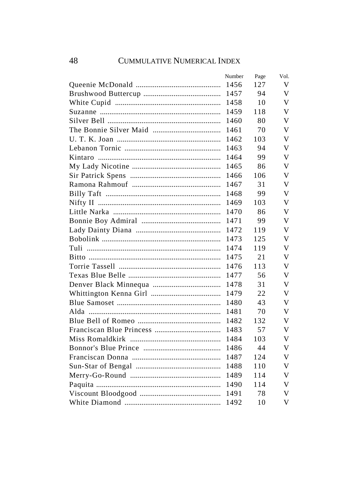| Number | Page | Vol. |
|--------|------|------|
| 1456   | 127  | V    |
| 1457   | 94   | V    |
| 1458   | 10   | V    |
| 1459   | 118  | V    |
| 1460   | 80   | V    |
| 1461   | 70   | V    |
| 1462   | 103  | V    |
| 1463   | 94   | V    |
| 1464   | 99   | V    |
| 1465   | 86   | V    |
| 1466   | 106  | V    |
| 1467   | 31   | V    |
| 1468   | 99   | V    |
| 1469   | 103  | V    |
| 1470   | 86   | V    |
| 1471   | 99   | V    |
| 1472   | 119  | V    |
| 1473   | 125  | V    |
| 1474   | 119  | V    |
| 1475   | 21   | V    |
| 1476   | 113  | V    |
| 1477   | 56   | V    |
| 1478   | 31   | V    |
| 1479   | 22   | V    |
| 1480   | 43   | V    |
| 1481   | 70   | V    |
| 1482   | 132  | V    |
| 1483   | 57   | V    |
| 1484   | 103  | V    |
| 1486   | 44   | V    |
| 1487   | 124  | V    |
| 1488   | 110  | V    |
| 1489   | 114  | V    |
| 1490   | 114  | V    |
| 1491   | 78   | V    |
| 1492   | 10   | V    |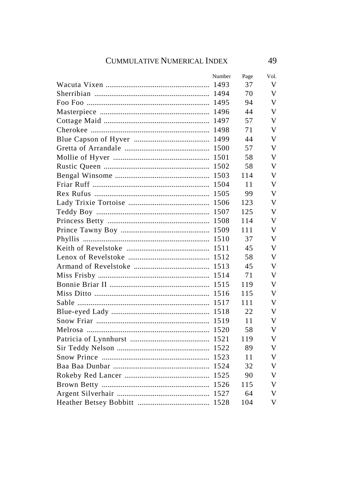| Number | Page | Vol. |
|--------|------|------|
|        | 37   | V    |
|        | 70   | V    |
|        | 94   | V    |
| 1496   | 44   | V    |
| 1497   | 57   | V    |
| 1498   | 71   | V    |
|        | 44   | V    |
|        | 57   | V    |
|        | 58   | V    |
|        | 58   | V    |
|        | 114  | V    |
|        | 11   | V    |
|        | 99   | V    |
|        | 123  | V    |
|        | 125  | V    |
|        | 114  | V    |
|        | 111  | V    |
|        | 37   | V    |
|        | 45   | V    |
|        | 58   | V    |
|        | 45   | V    |
|        | 71   | V    |
|        | 119  | V    |
| 1516   | 115  | V    |
| 1517   | 111  | V    |
| 1518   | 22   | V    |
| 1519   | 11   | V    |
| 1520   | 58   | V    |
| 1521   | 119  | V    |
|        | 89   | V    |
|        | 11   | V    |
|        | 32   | V    |
|        | 90   | V    |
|        | 115  | V    |
|        | 64   | V    |
|        | 104  | V    |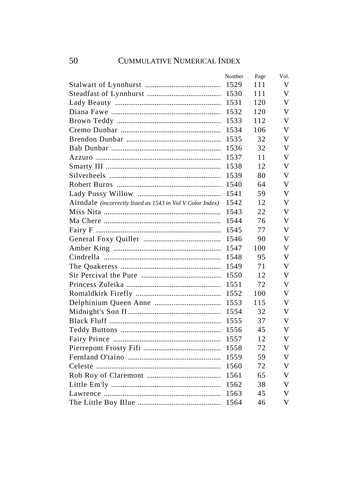|                                                                   | Number | Page | Vol. |
|-------------------------------------------------------------------|--------|------|------|
|                                                                   | 1529   | 111  | V    |
|                                                                   | 1530   | 111  | V    |
|                                                                   | 1531   | 120  | V    |
|                                                                   | 1532   | 120  | V    |
|                                                                   | 1533   | 112  | V    |
|                                                                   | 1534   | 106  | V    |
|                                                                   | 1535   | 32   | V    |
|                                                                   | 1536   | 32   | V    |
|                                                                   | 1537   | 11   | V    |
|                                                                   | 1538   | 12   | V    |
|                                                                   | 1539   | 80   | V    |
|                                                                   | 1540   | 64   | V    |
|                                                                   | 1541   | 59   | V    |
| Airndale <i>(incorrectly listed as 1543 in Vol V Color Index)</i> | 1542   | 12   | V    |
|                                                                   | 1543   | 22   | V    |
|                                                                   | 1544   | 76   | V    |
|                                                                   | 1545   | 77   | V    |
|                                                                   | 1546   | 90   | V    |
|                                                                   | 1547   | 100  | V    |
|                                                                   | 1548   | 95   | V    |
|                                                                   | 1549   | 71   | V    |
|                                                                   | 1550   | 12   | V    |
|                                                                   | 1551   | 72   | V    |
|                                                                   | 1552   | 100  | V    |
|                                                                   | 1553   | 115  | V    |
|                                                                   | 1554   | 32   | V    |
|                                                                   | 1555   | 37   | V    |
|                                                                   | 1556   | 45   | V    |
|                                                                   | 1557   | 12   | V    |
|                                                                   | 1558   | 72   | V    |
|                                                                   | 1559   | 59   | V    |
|                                                                   | 1560   | 72   | V    |
|                                                                   | 1561   | 65   | V    |
|                                                                   | 1562   | 38   | V    |
|                                                                   | 1563   | 45   | V    |
|                                                                   | 1564   | 46   | V    |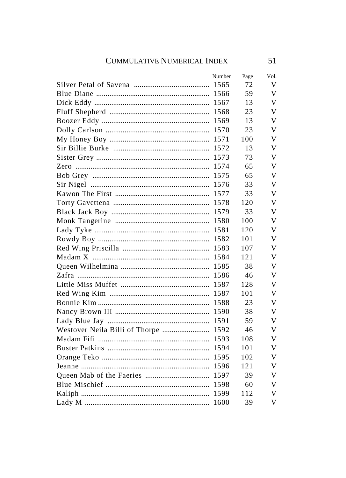| Number | Page                                 | Vol. |
|--------|--------------------------------------|------|
|        | 72                                   | V    |
|        | 59                                   | V    |
|        | 13                                   | V    |
|        | 23                                   | V    |
| 1569   | 13                                   | V    |
| 1570   | 23                                   | V    |
|        | 100                                  | V    |
| 1572   | 13                                   | V    |
| 1573   | 73                                   | V    |
| 1574   | 65                                   | V    |
|        | 65                                   | V    |
|        | 33                                   | V    |
|        | 33                                   | V    |
|        | 120                                  | V    |
|        | 33                                   | V    |
|        | 100                                  | V    |
|        | 120                                  | V    |
|        | 101                                  | V    |
|        | 107                                  | V    |
|        | 121                                  | V    |
|        | 38                                   | V    |
|        | 46                                   | V    |
|        | 128                                  | V    |
|        | 101                                  | V    |
|        | 23                                   | V    |
|        | 38                                   | V    |
|        | 59                                   | V    |
|        | 46                                   | V    |
| 1593   | 108                                  | V    |
|        | 101                                  | V    |
| 1595   | 102                                  | V    |
|        | 121                                  | V    |
|        | 39                                   | V    |
|        | 60                                   | V    |
|        | 112                                  | v    |
|        | 39                                   | V    |
|        | Westover Neila Billi of Thorpe  1592 |      |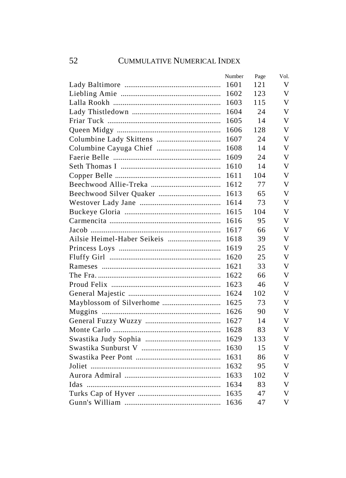| Number | Page | Vol. |
|--------|------|------|
| 1601   | 121  | V    |
| 1602   | 123  | V    |
| 1603   | 115  | V    |
| 1604   | 24   | V    |
| 1605   | 14   | V    |
| 1606   | 128  | V    |
| 1607   | 24   | V    |
| 1608   | 14   | V    |
| 1609   | 24   | V    |
| 1610   | 14   | V    |
| 1611   | 104  | V    |
| 1612   | 77   | V    |
| 1613   | 65   | V    |
| 1614   | 73   | V    |
| 1615   | 104  | V    |
| 1616   | 95   | V    |
| 1617   | 66   | V    |
| 1618   | 39   | V    |
| 1619   | 25   | V    |
| 1620   | 25   | V    |
| 1621   | 33   | V    |
| 1622   | 66   | V    |
| 1623   | 46   | V    |
| 1624   | 102  | V    |
| 1625   | 73   | V    |
| 1626   | 90   | V    |
| 1627   | 14   | V    |
| 1628   | 83   | V    |
| 1629   | 133  | V    |
| 1630   | 15   | V    |
| 1631   | 86   | V    |
| 1632   | 95   | V    |
| 1633   | 102  | V    |
| 1634   | 83   | V    |
| 1635   | 47   | V    |
| 1636   | 47   | v    |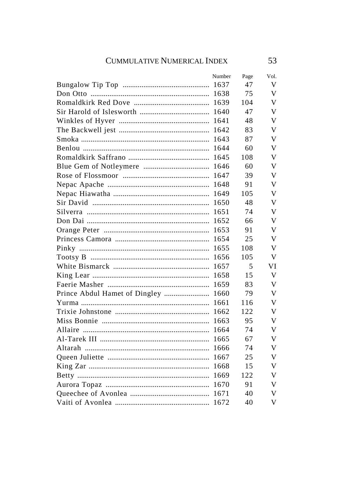|                                     | Number | Page | Vol. |
|-------------------------------------|--------|------|------|
|                                     |        | 47   | V    |
|                                     |        | 75   | V    |
|                                     | 1639   | 104  | V    |
|                                     | 1640   | 47   | V    |
|                                     |        | 48   | V    |
|                                     |        | 83   | V    |
|                                     | 1643   | 87   | V    |
|                                     | 1644   | 60   | V    |
|                                     | 1645   | 108  | v    |
|                                     |        | 60   | v    |
|                                     |        | 39   | v    |
|                                     |        | 91   | V    |
|                                     |        | 105  | V    |
|                                     |        | 48   | V    |
|                                     |        | 74   | V    |
|                                     |        | 66   | V    |
|                                     |        | 91   | V    |
|                                     |        | 25   | V    |
|                                     | 1655   | 108  | V    |
|                                     | 1656   | 105  | V    |
|                                     | 1657   | 5    | VI   |
|                                     | 1658   | 15   | V    |
|                                     | 1659   | 83   | V    |
| Prince Abdul Hamet of Dingley  1660 |        | 79   | V    |
|                                     | 1661   | 116  | V    |
|                                     | 1662   | 122  | V    |
|                                     | 1663   | 95   | V    |
|                                     | 1664   | 74   | V    |
|                                     | 1665   | 67   | V    |
|                                     | 1666   | 74   | V    |
|                                     | 1667   | 25   | v    |
|                                     |        | 15   | V    |
|                                     |        | 122  | V    |
|                                     |        | 91   | V    |
|                                     |        | 40   | V    |
|                                     |        | 40   | V    |

53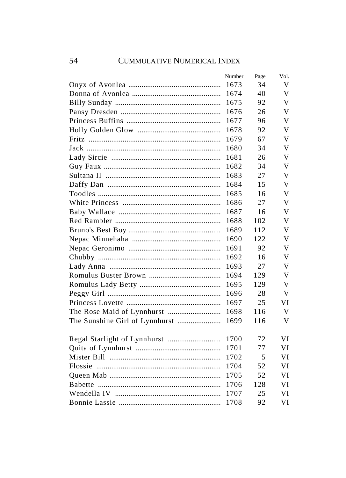| Number | Page | Vol. |
|--------|------|------|
| 1673   | 34   | V    |
| 1674   | 40   | V    |
| 1675   | 92   | V    |
| 1676   | 26   | V    |
| 1677   | 96   | V    |
| 1678   | 92   | V    |
| 1679   | 67   | V    |
| 1680   | 34   | V    |
| 1681   | 26   | V    |
| 1682   | 34   | V    |
| 1683   | 27   | V    |
| 1684   | 15   | V    |
| 1685   | 16   | V    |
| 1686   | 27   | V    |
| 1687   | 16   | V    |
| 1688   | 102  | V    |
| 1689   | 112  | V    |
| 1690   | 122  | V    |
| 1691   | 92   | V    |
| 1692   | 16   | V    |
| 1693   | 27   | V    |
| 1694   | 129  | V    |
| 1695   | 129  | V    |
| 1696   | 28   | V    |
| 1697   | 25   | VI   |
| 1698   | 116  | V    |
| 1699   | 116  | V    |
| 1700   | 72   | VI   |
| 1701   | 77   | VI   |
| 1702   | 5    | VI   |
| 1704   | 52   | VI   |
| 1705   | 52   | VI   |
| 1706   | 128  | VI   |
| 1707   | 25   | VI   |
|        | 92   |      |
| 1708   |      | VI   |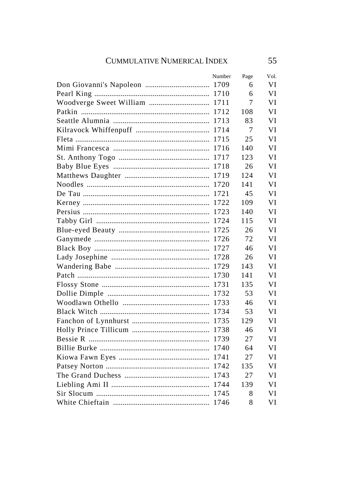|                               | Number | Page | Vol. |
|-------------------------------|--------|------|------|
|                               |        | 6    | VI   |
|                               |        | 6    | VI   |
| Woodverge Sweet William  1711 |        | 7    | VI   |
|                               | 1712   | 108  | VI   |
|                               | 1713   | 83   | VI   |
|                               | 1714   | 7    | VI   |
|                               | 1715   | 25   | VI   |
|                               | 1716   | 140  | VI   |
|                               | 1717   | 123  | VI   |
|                               |        | 26   | VI   |
|                               |        | 124  | VI   |
|                               |        | 141  | VI   |
|                               |        | 45   | VI   |
|                               |        | 109  | VI   |
|                               |        | 140  | VI   |
|                               |        | 115  | VI   |
|                               |        | 26   | VI   |
|                               |        | 72   | VI   |
|                               |        | 46   | VI   |
|                               |        | 26   | VI   |
|                               | 1729   | 143  | VI   |
|                               | 1730   | 141  | VI   |
|                               | 1731   | 135  | VI   |
|                               | 1732   | 53   | VI   |
|                               | 1733   | 46   | VI   |
|                               | 1734   | 53   | VI   |
|                               | 1735   | 129  | VI   |
|                               | 1738   | 46   | VI   |
|                               | 1739   | 27   | VI   |
|                               |        | 64   | VI   |
|                               |        | 27   | VI   |
|                               |        | 135  | VI   |
|                               |        | 27   | VI   |
|                               |        | 139  | VI   |
|                               |        | 8    | VI   |
|                               |        | 8    | VI   |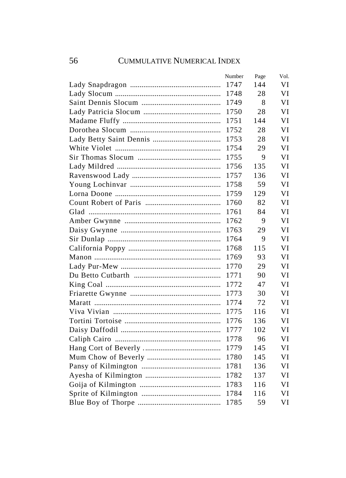| Number | Page | Vol. |
|--------|------|------|
| 1747   | 144  | VI   |
| 1748   | 28   | VI   |
| 1749   | 8    | VI   |
| 1750   | 28   | VI   |
| 1751   | 144  | VI   |
| 1752   | 28   | VI   |
| 1753   | 28   | VI   |
| 1754   | 29   | VI   |
| 1755   | 9    | VI   |
| 1756   | 135  | VI   |
| 1757   | 136  | VI   |
| 1758   | 59   | VI   |
| 1759   | 129  | VI   |
| 1760   | 82   | VI   |
| 1761   | 84   | VI   |
| 1762   | 9    | VI   |
| 1763   | 29   | VI   |
| 1764   | 9    | VI   |
| 1768   | 115  | VI   |
| 1769   | 93   | VI   |
| 1770   | 29   | VI   |
| 1771   | 90   | VI   |
| 1772   | 47   | VI   |
| 1773   | 30   | VI   |
| 1774   | 72   | VI   |
| 1775   | 116  | VI   |
| 1776   | 136  | VI   |
| 1777   | 102  | VI   |
| 1778   | 96   | VI   |
| 1779   | 145  | VI   |
| 1780   | 145  | VI   |
| 1781   | 136  | VI   |
| 1782   | 137  | VI   |
| 1783   | 116  | VI   |
| 1784   | 116  | VI   |
| 1785   | 59   | VI   |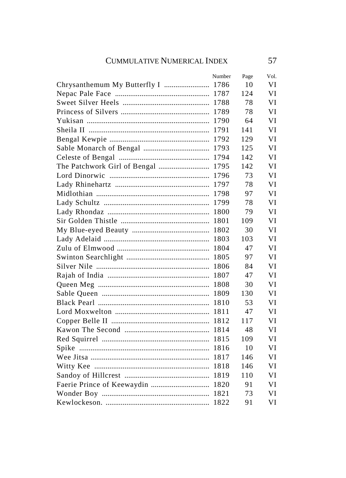| Number | Page | Vol. |
|--------|------|------|
|        | 10   | VI   |
|        | 124  | VI   |
|        | 78   | VI   |
| 1789   | 78   | VI   |
| 1790   | 64   | VI   |
| 1791   | 141  | VI   |
| 1792   | 129  | VI   |
| 1793   | 125  | VI   |
|        | 142  | VI   |
|        | 142  | VI   |
|        | 73   | VI   |
|        | 78   | VI   |
|        | 97   | VI   |
|        | 78   | VI   |
|        | 79   | VI   |
|        | 109  | VI   |
| 1802   | 30   | VI   |
| 1803   | 103  | VI   |
| 1804   | 47   | VI   |
| 1805   | 97   | VI   |
| 1806   | 84   | VI   |
| 1807   | 47   | VI   |
| 1808   | 30   | VI   |
| 1809   | 130  | VI   |
| 1810   | 53   | VI   |
| 1811   | 47   | VI   |
| 1812   | 117  | VI   |
| 1814   | 48   | VI   |
| 1815   | 109  | VI   |
|        | 10   | VI   |
| 1817   | 146  | VI   |
| 1818   | 146  | VI   |
|        | 110  | VI   |
|        | 91   | VI   |
|        | 73   | VI   |
|        | 91   | VI   |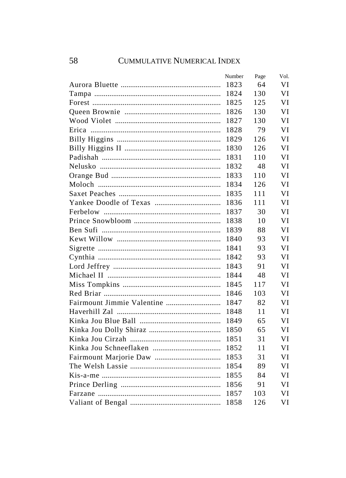| Number | Page | Vol. |
|--------|------|------|
| 1823   | 64   | VI   |
| 1824   | 130  | VI   |
| 1825   | 125  | VI   |
| 1826   | 130  | VI   |
| 1827   | 130  | VI   |
| 1828   | 79   | VI   |
| 1829   | 126  | VI   |
| 1830   | 126  | VI   |
| 1831   | 110  | VI   |
| 1832   | 48   | VI   |
| 1833   | 110  | VI   |
| 1834   | 126  | VI   |
| 1835   | 111  | VJ   |
| 1836   | 111  | VI   |
| 1837   | 30   | VI   |
| 1838   | 10   | VI   |
| 1839   | 88   | VI   |
| 1840   | 93   | VI   |
| 1841   | 93   | VI   |
| 1842   | 93   | VI   |
| 1843   | 91   | VI   |
| 1844   | 48   | VI   |
| 1845   | 117  | VI   |
| 1846   | 103  | VI   |
| 1847   | 82   | VI   |
| 1848   | 11   | VI   |
| 1849   | 65   | VI   |
| 1850   | 65   | VI   |
| 1851   | 31   | VI   |
| 1852   | 11   | VI   |
| 1853   | 31   | VI   |
| 1854   | 89   | VI   |
| 1855   | 84   | VI   |
| 1856   | 91   | VI   |
| 1857   | 103  | VI   |
| 1858   | 126  | VI   |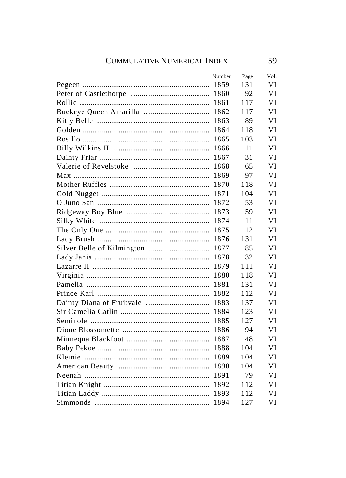| Number | Page | VOI. |
|--------|------|------|
|        | 131  | VI   |
|        | 92   | VI   |
|        | 117  | VI   |
|        | 117  | VI   |
| 1863   | 89   | VI   |
| 1864   | 118  | VI   |
| 1865   | 103  | VI   |
| 1866   | 11   | VI   |
| 1867   | 31   | VI   |
| 1868   | 65   | VI   |
| 1869   | 97   | VI   |
|        | 118  | VI   |
|        | 104  | VI   |
|        | 53   | VI   |
|        | 59   | VI   |
|        | 11   | VI   |
|        | 12   | VI   |
|        | 131  | VI   |
|        | 85   | VI   |
|        | 32   | VI   |
|        | 111  | VI   |
|        | 118  | VI   |
|        | 131  | VI   |
| 1882   | 112  | VI   |
| 1883   | 137  | VI   |
| 1884   | 123  | VI   |
| 1885   | 127  | VI   |
| 1886   | 94   | VI   |
| 1887   | 48   | VI   |
| 1888   | 104  | VI   |
| 1889   | 104  | VI   |
|        | 104  | VI   |
|        | 79   | VI   |
|        | 112  | VI   |
|        | 112  | VI   |
|        | 127  | VI   |
|        |      |      |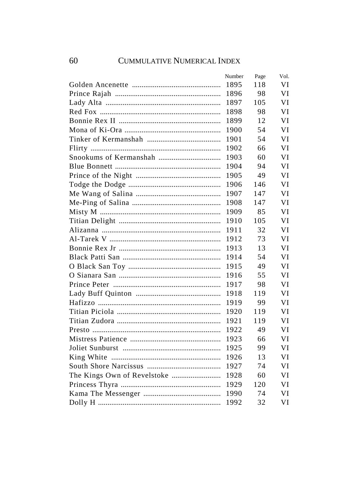|      | Page   | Vol. |
|------|--------|------|
| 1895 | 118    | VI   |
| 1896 | 98     | VI   |
| 1897 | 105    | VI   |
| 1898 | 98     | VI   |
| 1899 | 12     | VI   |
| 1900 | 54     | VI   |
| 1901 | 54     | VI   |
| 1902 | 66     | VI   |
| 1903 | 60     | VI   |
| 1904 | 94     | VI   |
| 1905 | 49     | VI   |
| 1906 | 146    | VI   |
| 1907 | 147    | VI   |
| 1908 | 147    | VI   |
| 1909 | 85     | VI   |
| 1910 | 105    | VI   |
| 1911 | 32     | VI   |
| 1912 | 73     | VI   |
| 1913 | 13     | VI   |
| 1914 | 54     | VI   |
| 1915 | 49     | VI   |
| 1916 | 55     | VI   |
| 1917 | 98     | VI   |
| 1918 | 119    | VI   |
| 1919 | 99     | VI   |
| 1920 | 119    | VI   |
| 1921 | 119    | VI   |
| 1922 | 49     | VI   |
| 1923 | 66     | VI   |
| 1925 | 99     | VI   |
| 1926 | 13     | VI   |
| 1927 | 74     | VI   |
| 1928 | 60     | VI   |
| 1929 | 120    | VI   |
| 1990 | 74     | VI   |
| 1992 | 32     | VI   |
|      | Number |      |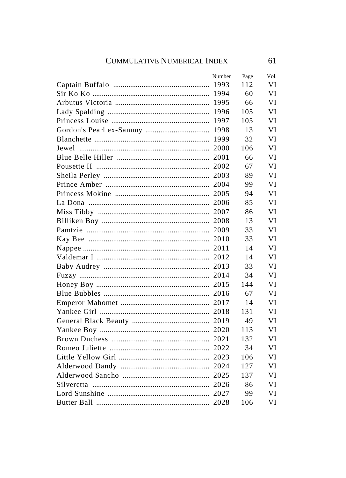| Number | Page | Vol. |
|--------|------|------|
|        | 112  | VI   |
|        | 60   | VI   |
|        | 66   | VI   |
|        | 105  | VI   |
|        | 105  | VI   |
|        | 13   | VI   |
|        | 32   | VI   |
|        | 106  | VI   |
|        | 66   | VI   |
|        | 67   | VI   |
|        | 89   | VI   |
|        | 99   | VI   |
|        | 94   | VI   |
|        | 85   | VI   |
|        | 86   | VI   |
|        | 13   | VI   |
|        | 33   | VI   |
|        | 33   | VI   |
|        | 14   | VI   |
|        | 14   | VI   |
|        | 33   | VI   |
|        | 34   | VI   |
|        | 144  | VI   |
|        | 67   | VI   |
|        | 14   | VI   |
|        | 131  | VI   |
|        | 49   | VI   |
|        | 113  | VI   |
|        | 132  | VI   |
|        | 34   | VI   |
|        | 106  | VI   |
|        | 127  | VI   |
|        | 137  | VI   |
|        | 86   | VI   |
|        | 99   | VI   |
|        | 106  | VI   |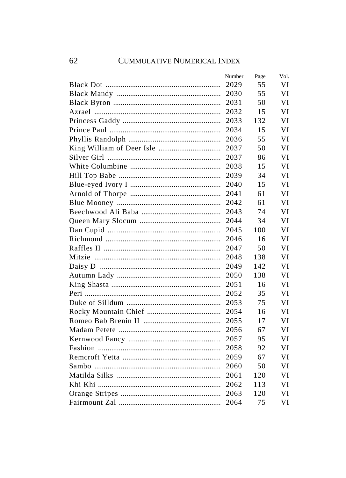|       | Number | Page | Vol. |
|-------|--------|------|------|
|       | 2029   | 55   | VI   |
|       | 2030   | 55   | VI   |
|       | 2031   | 50   | VI   |
|       | 2032   | 15   | VI   |
|       | 2033   | 132  | VI   |
|       | 2034   | 15   | VI   |
|       | 2036   | 55   | VI   |
|       | 2037   | 50   | VI   |
|       | 2037   | 86   | VI   |
|       | 2038   | 15   | VI   |
|       | 2039   | 34   | VI   |
|       | 2040   | 15   | VI   |
|       | 2041   | 61   | VI   |
|       | 2042   | 61   | VI   |
|       | 2043   | 74   | VI   |
|       | 2044   | 34   | VI   |
|       | 2045   | 100  | VI   |
|       | 2046   | 16   | VI   |
|       | 2047   | 50   | VI   |
|       | 2048   | 138  | VI   |
|       | 2049   | 142  | VI   |
|       | 2050   | 138  | VI   |
|       | 2051   | 16   | VI   |
|       | 2052   | 35   | VI   |
|       | 2053   | 75   | VI   |
|       | 2054   | 16   | VI   |
|       | 2055   | 17   | VI   |
|       | 2056   | 67   | VI   |
|       | 2057   | 95   | VI   |
|       | 2058   | 92   | VI   |
|       | 2059   | 67   | VI   |
| Sambo | 2060   | 50   | VI   |
|       | 2061   | 120  | VI   |
|       | 2062   | 113  | VI   |
|       | 2063   | 120  | VI   |
|       | 2064   | 75   | VI   |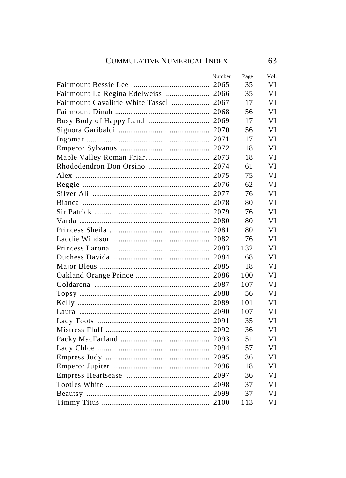|                                        | Number | Page | Vol. |
|----------------------------------------|--------|------|------|
|                                        |        | 35   | VI   |
| Fairmount La Regina Edelweiss  2066    |        | 35   | VI   |
| Fairmount Cavalirie White Tassel  2067 |        | 17   | VI   |
|                                        |        | 56   | VI   |
|                                        |        | 17   | VI   |
|                                        |        | 56   | VI   |
|                                        |        | 17   | VI   |
|                                        |        | 18   | VI   |
|                                        |        | 18   | VI   |
|                                        |        | 61   | VI   |
|                                        |        | 75   | VI   |
|                                        |        | 62   | VI   |
|                                        |        | 76   | VI   |
|                                        |        | 80   | VI   |
|                                        |        | 76   | VI   |
|                                        |        | 80   | VI   |
|                                        |        | 80   | VI   |
|                                        |        | 76   | VI   |
|                                        |        | 132  | VI   |
|                                        |        | 68   | VI   |
|                                        |        | 18   | VI   |
|                                        |        | 100  | VI   |
|                                        |        | 107  | VI   |
|                                        | 2088   | 56   | VI   |
|                                        | 2089   | 101  | VI   |
|                                        | 2090   | 107  | VI   |
|                                        |        | 35   | VI   |
|                                        |        | 36   | VI   |
|                                        |        | 51   | VI   |
|                                        |        | 57   | VI   |
|                                        |        | 36   | VI   |
|                                        |        | 18   | VI   |
|                                        |        | 36   | VI   |
|                                        |        | 37   | VI   |
|                                        |        | 37   | VI   |
|                                        |        | 113  | VI   |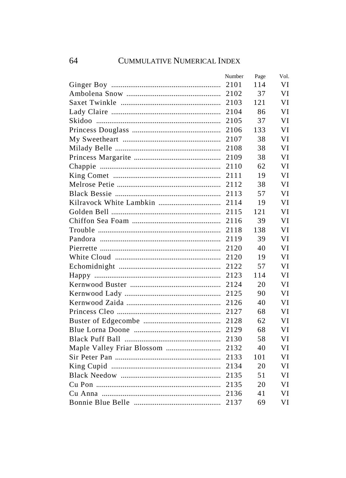| Number | Page | Vol. |
|--------|------|------|
| 2101   | 114  | VI   |
| 2102   | 37   | VI   |
| 2103   | 121  | VI   |
| 2104   | 86   | VI   |
| 2105   | 37   | VI   |
| 2106   | 133  | VI   |
| 2107   | 38   | VI   |
| 2108   | 38   | VI   |
| 2109   | 38   | VI   |
| 2110   | 62   | VI   |
| 2111   | 19   | VI   |
| 2112   | 38   | VI   |
| 2113   | 57   | VI   |
| 2114   | 19   | VI   |
| 2115   | 121  | VI   |
| 2116   | 39   | VI   |
| 2118   | 138  | VI   |
| 2119   | 39   | VI   |
| 2120   | 40   | VI   |
| 2120   | 19   | VI   |
| 2122   | 57   | VI   |
| 2123   | 114  | VI   |
| 2124   | 20   | VI   |
| 2125   | 90   | VI   |
| 2126   | 40   | VI   |
| 2127   | 68   | VI   |
| 2128   | 62   | VI   |
| 2129   | 68   | VI   |
| 2130   | 58   | VI   |
| 2132   | 40   | VI   |
| 2133   | 101  | VI   |
| 2134   | 20   | VI   |
| 2135   | 51   | VI   |
| 2135   | 20   | VI   |
| 2136   | 41   | VI   |
| 2137   | 69   | VI   |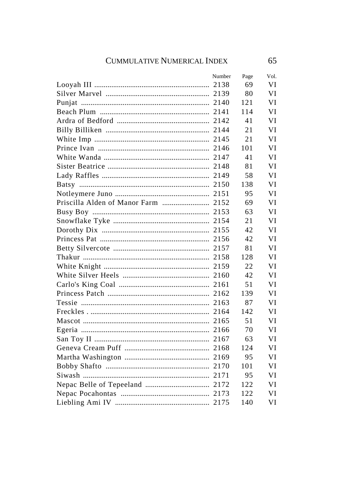| Number | Page | Vol. |
|--------|------|------|
|        | 69   | VI   |
|        | 80   | VI   |
|        | 121  | VI   |
|        | 114  | VI   |
|        | 41   | VI   |
|        | 21   | VI   |
|        | 21   | VI   |
|        | 101  | VI   |
|        | 41   | VI   |
|        | 81   | VI   |
|        | 58   | VI   |
|        | 138  | VI   |
|        | 95   | VI   |
|        | 69   | VI   |
|        | 63   | VI   |
|        | 21   | VI   |
|        | 42   | VI   |
|        | 42   | VI   |
|        | 81   | VI   |
|        | 128  | VI   |
|        | 22   | VI   |
|        | 42   | VI   |
|        | 51   | VI   |
|        | 139  | VI   |
|        | 87   | VI   |
|        | 142  | VI   |
|        | 51   | VI   |
|        | 70   | VI   |
|        | 63   | VI   |
|        | 124  | VI   |
|        | 95   | VI   |
|        | 101  | VI   |
|        | 95   | VI   |
|        | 122  | VI   |
|        | 122  | VI   |
|        | 140  | VI   |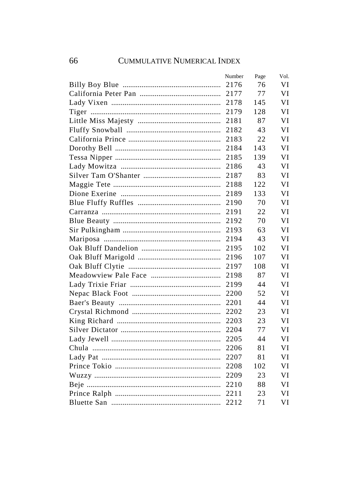| Number | Page | Vol. |
|--------|------|------|
| 2176   | 76   | VI   |
|        | 77   | VI   |
| 2178   | 145  | VI   |
| 2179   | 128  | VI   |
| 2181   | 87   | VI   |
| 2182   | 43   | VI   |
| 2183   | 22   | VI   |
| 2184   | 143  | VI   |
| 2185   | 139  | VI   |
| 2186   | 43   | VI   |
| 2187   | 83   | VI   |
| 2188   | 122  | VI   |
| 2189   | 133  | VI   |
| 2190   | 70   | VI   |
| 2191   | 22   | VI   |
| 2192   | 70   | VI   |
| 2193   | 63   | VI   |
| 2194   | 43   | VI   |
| 2195   | 102  | VI   |
| 2196   | 107  | VI   |
| 2197   | 108  | VI   |
| 2198   | 87   | VI   |
| 2199   | 44   | VI   |
| 2200   | 52   | VI   |
| 2201   | 44   | VI   |
| 2202   | 23   | VI   |
| 2203   | 23   | VI   |
| 2204   | 77   | VI   |
| 2205   | 44   | VI   |
| 2206   | 81   | VI   |
| 2207   | 81   | VI   |
| 2208   | 102  | VI   |
| 2209   | 23   | VI   |
| 2210   | 88   | VI   |
| 2211   | 23   | VI   |
| 2212   | 71   | VI   |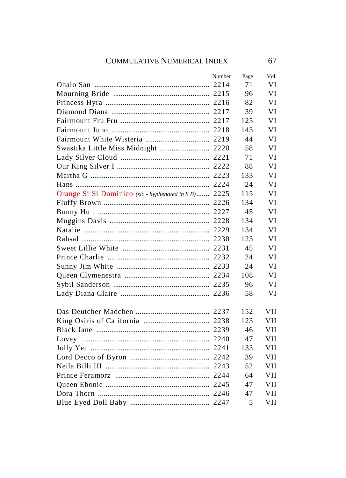|                                                      | Number | Page | Vol. |
|------------------------------------------------------|--------|------|------|
|                                                      |        | 71   | VI   |
|                                                      |        | 96   | VI   |
|                                                      |        | 82   | VI   |
|                                                      |        | 39   | VI   |
|                                                      |        | 125  | VI   |
|                                                      |        | 143  | VI   |
|                                                      |        | 44   | VI   |
| Swastika Little Miss Midnight  2220                  |        | 58   | VI   |
|                                                      |        | 71   | VI   |
|                                                      |        | 88   | VI   |
|                                                      |        | 133  | VI   |
|                                                      |        | 24   | VI   |
| Orange Si Si Dominico (sic - hyphenated in S B) 2225 |        | 115  | VI   |
|                                                      |        | 134  | VI   |
|                                                      |        | 45   | VI   |
|                                                      |        | 134  | VI   |
|                                                      |        | 134  | VI   |
|                                                      |        | 123  | VI   |
|                                                      |        | 45   | VI   |
|                                                      |        | 24   | VI   |
|                                                      |        | 24   | VI   |
|                                                      |        | 108  | VI   |
|                                                      |        | 96   | VI   |
|                                                      |        | 58   | VI   |
|                                                      |        | 152  | VH   |
|                                                      |        | 123  | VH   |
|                                                      |        | 46   | VH   |
|                                                      |        | 47   | VH   |
|                                                      |        | 133  | VH   |
|                                                      |        | 39   | VII  |
|                                                      |        | 52   | VH   |
|                                                      |        | 64   | VII  |
|                                                      |        | 47   | VH   |
|                                                      |        | 47   | VH   |
|                                                      |        | 5    | VII  |
|                                                      |        |      |      |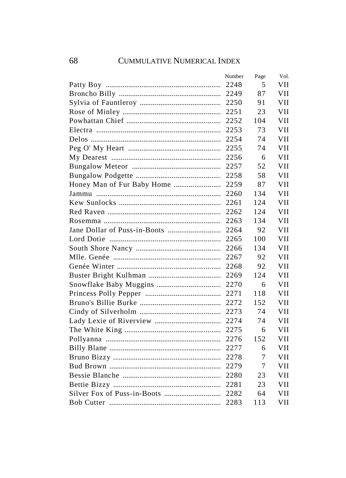| Number | Page | Vol. |
|--------|------|------|
| 2248   | 5    | VII  |
| 2249   | 87   | VII  |
| 2250   | 91   | VII  |
| 2251   | 23   | VII  |
| 2252   | 104  | VII  |
| 2253   | 73   | VII  |
| 2254   | 74   | VII  |
| 2255   | 74   | VII  |
| 2256   | 6    | VII  |
| 2257   | 52   | VII  |
| 2258   | 58   | VII  |
| 2259   | 87   | VII  |
| 2260   | 134  | VH   |
| 2261   | 124  | VH   |
| 2262   | 124  | VH   |
| 2263   | 134  | VH   |
| 2264   | 92   | VH   |
| 2265   | 100  | VH   |
| 2266   | 134  | VII  |
| 2267   | 92   | VII  |
| 2268   | 92   | VII  |
| 2269   | 124  | VII  |
| 2270   | 6    | VII  |
| 2271   | 118  | VH   |
| 2272   | 152  | VH   |
| 2273   | 74   | VII  |
| 2274   | 74   | VII  |
| 2275   | 6    | VII  |
| 2276   | 152  | VII  |
| 2277   | 6    | VII  |
| 2278   | 7    | VII  |
| 2279   | 7    | VII  |
| 2280   | 23   | VII  |
| 2281   | 23   | VII  |
| 2282   | 64   | VII  |
| 2283   | 113  | VII  |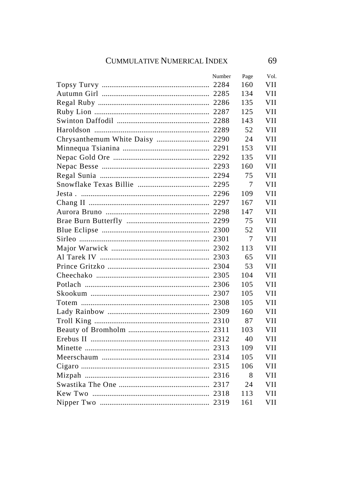| Number | Page | Vol. |
|--------|------|------|
|        | 160  | VII  |
|        | 134  | VII  |
|        | 135  | VII  |
|        | 125  | VII  |
|        | 143  | VII  |
|        | 52   | VII  |
|        | 24   | VII  |
|        | 153  | VII  |
|        | 135  | VII  |
|        | 160  | VII  |
|        | 75   | VII  |
|        | 7    | VII  |
|        | 109  | VII  |
|        | 167  | VII  |
|        | 147  | VII  |
|        | 75   | VH   |
|        | 52   | VH   |
|        | 7    | VII  |
|        | 113  | VH   |
|        | 65   | VH   |
|        | 53   | VH   |
|        | 104  | VII  |
|        | 105  | VII  |
|        | 105  | VII  |
|        | 105  | VH   |
|        | 160  | VH   |
|        | 87   | VH   |
|        | 103  | VH   |
|        | 40   | VH   |
|        | 109  | VH   |
|        | 105  | VH   |
|        | 106  | VH   |
|        | 8    | VII  |
|        | 24   | VII  |
|        | 113  | VII  |
|        | 161  | VH   |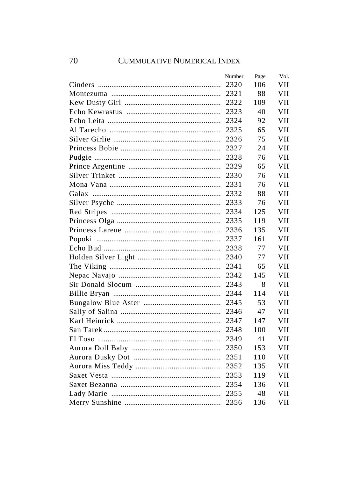| Number | Page | Vol. |
|--------|------|------|
| 2320   | 106  | VII  |
| 2321   | 88   | VII  |
| 2322   | 109  | VII  |
| 2323   | 40   | VII  |
| 2324   | 92   | VII  |
| 2325   | 65   | VII  |
| 2326   | 75   | VII  |
| 2327   | 24   | VH   |
| 2328   | 76   | VH   |
| 2329   | 65   | VII  |
| 2330   | 76   | VII  |
| 2331   | 76   | VII  |
| 2332   | 88   | VH   |
| 2333   | 76   | VH   |
| 2334   | 125  | VH   |
| 2335   | 119  | VH   |
| 2336   | 135  | VH   |
| 2337   | 161  | VH   |
| 2338   | 77   | VH   |
| 2340   | 77   | VH   |
| 2341   | 65   | VII  |
| 2342   | 145  | VII  |
| 2343   | 8    | VII  |
| 2344   | 114  | VH   |
| 2345   | 53   | VH   |
| 2346   | 47   | VII  |
| 2347   | 147  | VII  |
| 2348   | 100  | VII  |
| 2349   | 41   | VII  |
| 2350   | 153  | VII  |
| 2351   | 110  | VII  |
|        | 135  | VII  |
| 2353   | 119  | VII  |
| 2354   | 136  | VII  |
| 2355   | 48   | VII  |
| 2356   | 136  | VII  |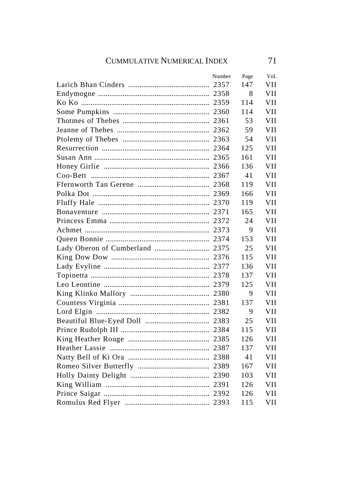| Number | Page | Vol.       |
|--------|------|------------|
|        | 147  | VH         |
|        | 8    | VII        |
|        | 114  | VII        |
|        | 114  | VII        |
|        | 53   | <b>VII</b> |
|        | 59   | VII        |
|        | 54   | <b>VII</b> |
|        | 125  | <b>VII</b> |
|        | 161  | <b>VII</b> |
|        | 136  | <b>VII</b> |
|        | 41   | <b>VII</b> |
|        | 119  | VII        |
|        | 166  | <b>VII</b> |
|        | 119  | VII        |
|        | 165  | VH         |
|        | 24   | VH         |
|        | 9    | VII        |
|        | 153  | VII        |
|        | 25   | VII        |
|        | 115  | VII        |
|        | 136  | VII        |
|        | 137  | VII        |
|        | 125  | VH         |
|        | 9    | VII        |
|        | 137  | VH         |
|        | 9    | VII        |
|        | 25   | VH         |
|        | 115  | VH         |
|        | 126  | VII        |
|        | 137  | VII        |
|        | 41   | VII        |
|        | 167  | VII        |
|        | 103  | VII        |
|        | 126  | VII        |
|        | 126  | VII        |
|        | 115  | VII        |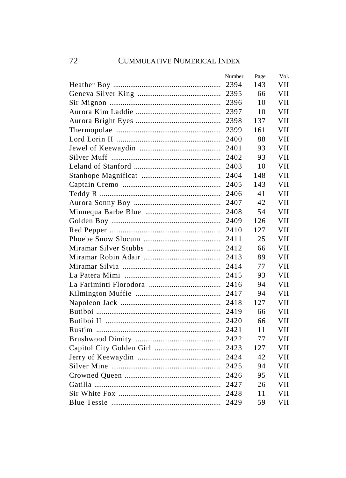| Number | Page | Vol. |
|--------|------|------|
| 2394   | 143  | VII  |
|        | 66   | VII  |
| 2396   | 10   | VII  |
| 2397   | 10   | VII  |
| 2398   | 137  | VII  |
| 2399   | 161  | VII  |
| 2400   | 88   | VII  |
| 2401   | 93   | VH   |
| 2402   | 93   | VH   |
| 2403   | 10   | VH   |
| 2404   | 148  | VH   |
| 2405   | 143  | VII  |
| 2406   | 41   | VH   |
| 2407   | 42   | VH   |
| 2408   | 54   | VH   |
| 2409   | 126  | VH   |
| 2410   | 127  | VH   |
| 2411   | 25   | VH   |
| 2412   | 66   | VH   |
| 2413   | 89   | VH   |
| 2414   | 77   | VH   |
| 2415   | 93   | VII  |
| 2416   | 94   | VH   |
| 2417   | 94   | VH   |
| 2418   | 127  | VH   |
| 2419   | 66   | VII  |
| 2420   | 66   | VII  |
| 2421   | 11   | VII  |
| 2422   | 77   | VII  |
| 2423   | 127  | VII  |
| 2424   | 42   | VII  |
| 2425   | 94   | VII  |
| 2426   | 95   | VII  |
| 2427   | 26   | VII  |
| 2428   | 11   | VII  |
| 2429   | 59   | VII  |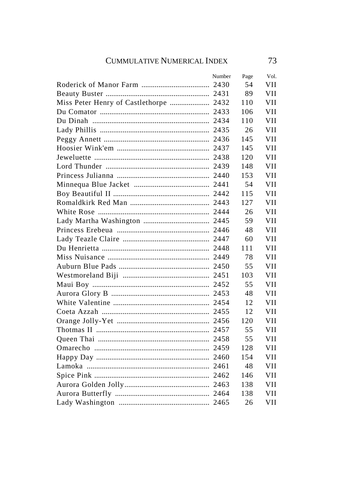|                                        | Number | Page | Vol.       |
|----------------------------------------|--------|------|------------|
|                                        |        | 54   | VH         |
|                                        |        | 89   | VII        |
| Miss Peter Henry of Castlethorpe  2432 |        | 110  | VH         |
|                                        |        | 106  | VH         |
|                                        |        | 110  | VH         |
|                                        |        | 26   | VH         |
|                                        |        | 145  | VH         |
|                                        |        | 145  | VH         |
|                                        |        | 120  | VH         |
|                                        |        | 148  | VH         |
|                                        |        | 153  | VH         |
|                                        |        | 54   | <b>VII</b> |
|                                        |        | 115  | VH         |
|                                        |        | 127  | VH         |
|                                        |        | 26   | <b>VII</b> |
|                                        |        | 59   | VH         |
|                                        |        | 48   | <b>VII</b> |
|                                        |        | 60   | <b>VII</b> |
|                                        |        | 111  | VH         |
|                                        |        | 78   | <b>VII</b> |
|                                        |        | 55   | VH         |
|                                        |        | 103  | VH         |
|                                        |        | 55   | <b>VII</b> |
|                                        |        | 48   | VH         |
|                                        |        | 12   | VH         |
|                                        |        | 12   | <b>VII</b> |
|                                        |        | 120  | VH         |
|                                        |        | 55   | VH         |
|                                        |        | 55   | VH         |
|                                        |        | 128  | VH         |
|                                        |        | 154  | <b>VII</b> |
|                                        |        | 48   | VH         |
|                                        |        | 146  | VH         |
|                                        |        | 138  | VH         |
|                                        |        | 138  | VH         |
|                                        |        | 26   | VH         |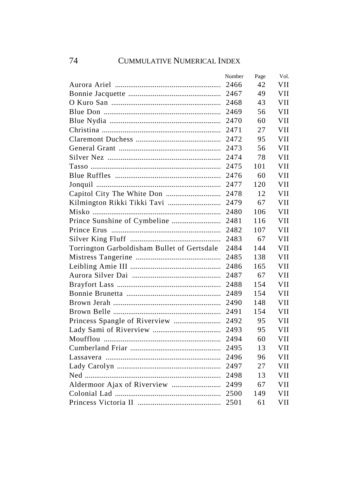|                                             | Number | Page | Vol.       |
|---------------------------------------------|--------|------|------------|
|                                             | 2466   | 42   | VII        |
|                                             | 2467   | 49   | VII        |
|                                             | 2468   | 43   | VII        |
|                                             | 2469   | 56   | VII        |
|                                             | 2470   | 60   | VH         |
|                                             | 2471   | 27   | VII        |
|                                             | 2472   | 95   | <b>VII</b> |
|                                             | 2473   | 56   | <b>VII</b> |
|                                             | 2474   | 78   | <b>VII</b> |
|                                             | 2475   | 101  | <b>VII</b> |
|                                             | 2476   | 60   | <b>VII</b> |
|                                             | 2477   | 120  | VII        |
|                                             | 2478   | 12   | VH         |
|                                             | 2479   | 67   | VII        |
|                                             | 2480   | 106  | VH         |
|                                             |        | 116  | VH         |
|                                             | 2482   | 107  | VII        |
|                                             | 2483   | 67   | VH         |
| Torrington Garboldisham Bullet of Gertsdale | 2484   | 144  | VII        |
|                                             | 2485   | 138  | VII        |
|                                             | 2486   | 165  | VII        |
|                                             | 2487   | 67   | VII        |
|                                             | 2488   | 154  | VII        |
|                                             | 2489   | 154  | VH         |
|                                             | 2490   | 148  | VH         |
|                                             | 2491   | 154  | VH         |
|                                             | 2492   | 95   | VII        |
|                                             | 2493   | 95   | VII        |
|                                             | 2494   | 60   | VII        |
|                                             | 2495   | 13   | VII        |
|                                             | 2496   | 96   | VII        |
|                                             | 2497   | 27   | VII        |
|                                             | 2498   | 13   | VII        |
|                                             | 2499   | 67   | VII        |
|                                             | 2500   | 149  | VII        |
|                                             | 2501   | 61   | VII        |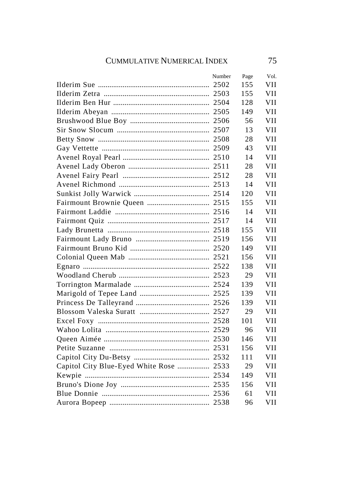|                                         | Number | Page | Vol.       |
|-----------------------------------------|--------|------|------------|
|                                         |        | 155  | VH         |
|                                         |        | 155  | VII        |
|                                         |        | 128  | VII        |
|                                         |        | 149  | VII        |
|                                         |        | 56   | VII        |
|                                         |        | 13   | VII        |
|                                         |        | 28   | VII        |
|                                         |        | 43   | VII        |
|                                         |        | 14   | VII        |
|                                         |        | 28   | <b>VII</b> |
|                                         |        | 28   | VII        |
|                                         |        | 14   | VII        |
|                                         |        | 120  | VII        |
|                                         |        | 155  | VII        |
|                                         |        | 14   | VII        |
|                                         |        | 14   | VII        |
|                                         |        | 155  | VII        |
|                                         |        | 156  | VII        |
|                                         |        | 149  | VII        |
|                                         |        | 156  | VII        |
|                                         |        | 138  | VII        |
|                                         |        | 29   | VII        |
|                                         |        | 139  | VII        |
|                                         |        | 139  | VII        |
|                                         |        | 139  | VII        |
|                                         |        | 29   | VII        |
|                                         |        | 101  | VII        |
|                                         |        | 96   | VII.       |
|                                         |        | 146  | VII        |
|                                         |        | 156  | VII        |
|                                         |        | 111  | VII        |
| Capitol City Blue-Eyed White Rose  2533 |        | 29   | VII        |
|                                         |        | 149  | VII        |
|                                         |        | 156  | VII        |
|                                         |        | 61   | VII        |
|                                         |        | 96   | VII        |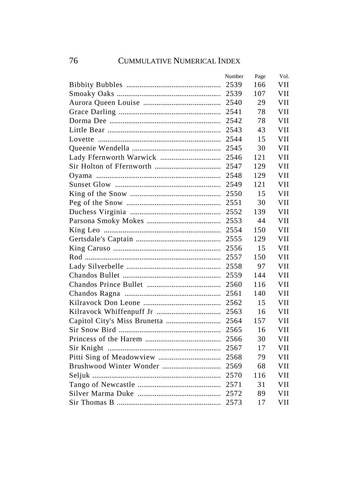| Number | Page | Vol.       |
|--------|------|------------|
| 2539   | 166  | VH         |
| 2539   | 107  | VII        |
| 2540   | 29   | VII        |
| 2541   | 78   | VII        |
| 2542   | 78   | VH         |
| 2543   | 43   | VH         |
| 2544   | 15   | VH         |
| 2545   | 30   | VH         |
| 2546   | 121  | <b>VII</b> |
| 2547   | 129  | VH         |
| 2548   | 129  | VII        |
| 2549   | 121  | VII        |
| 2550   | 15   | VH         |
| 2551   | 30   | VH         |
| 2552   | 139  | VH         |
| 2553   | 44   | VH         |
| 2554   | 150  | VH         |
| 2555   | 129  | VH         |
| 2556   | 15   | VII        |
| 2557   | 150  | VH         |
| 2558   | 97   | VII        |
| 2559   | 144  | VII        |
| 2560   | 116  | VII        |
| 2561   | 140  | VII        |
| 2562   | 15   | VII        |
| 2563   | 16   | VII        |
| 2564   | 157  | VII        |
| 2565   | 16   | VII        |
| 2566   | 30   | VH         |
| 2567   | 17   | VH         |
| 2568   | 79   | VII        |
| 2569   | 68   | VII        |
| 2570   | 116  | VII        |
| 2571   | 31   | VII        |
| 2572   | 89   | VII        |
| 2573   | 17   | VII        |
|        |      |            |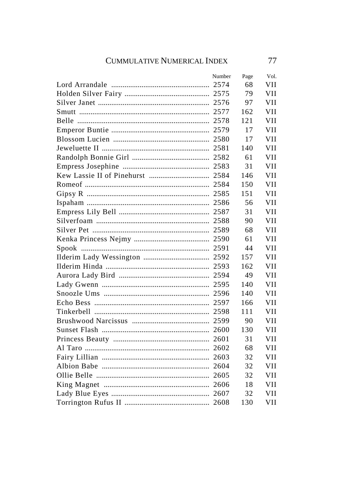| Number | Page | VOI.       |
|--------|------|------------|
|        | 68   | VH         |
|        | 79   | VII        |
|        | 97   | VII        |
|        | 162  | VII        |
|        | 121  | VH         |
|        | 17   | VH         |
|        | 17   | VH         |
|        | 140  | <b>VII</b> |
|        | 61   | VII        |
|        | 31   | <b>VII</b> |
|        | 146  | VII        |
|        | 150  | VII        |
|        | 151  | <b>VII</b> |
|        | 56   | <b>VII</b> |
|        | 31   | <b>VII</b> |
|        | 90   | VH         |
|        | 68   | VH         |
|        | 61   | VH         |
|        | 44   | VII        |
|        | 157  | VII        |
|        | 162  | VH         |
|        | 49   | VII        |
|        | 140  | VH         |
|        | 140  | VH         |
|        | 166  | VH         |
|        | 111  | VH         |
|        | 90   | VH         |
|        | 130  | <b>VII</b> |
|        | 31   | <b>VII</b> |
|        | 68   | <b>VII</b> |
|        | 32   | <b>VII</b> |
|        | 32   | <b>VII</b> |
|        | 32   | VH         |
|        | 18   | VII        |
|        | 32   | VII        |
|        | 130  | VII        |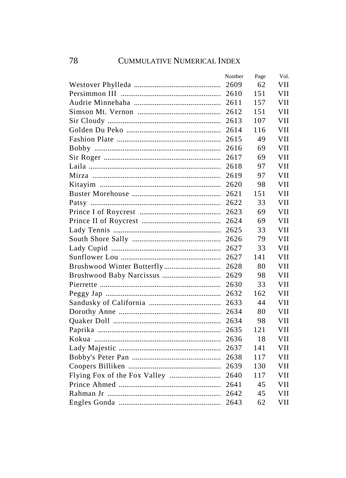| Number | Page | Vol. |
|--------|------|------|
| 2609   | 62   | VII  |
| 2610   | 151  | VII  |
| 2611   | 157  | VII  |
| 2612   | 151  | VII  |
| 2613   | 107  | VII  |
| 2614   | 116  | VII  |
| 2615   | 49   | VII  |
| 2616   | 69   | VII  |
| 2617   | 69   | VII  |
| 2618   | 97   | VII  |
| 2619   | 97   | VII  |
| 2620   | 98   | VII  |
| 2621   | 151  | VH   |
| 2622   | 33   | VH   |
| 2623   | 69   | VH   |
| 2624   | 69   | VH   |
| 2625   | 33   | VH   |
| 2626   | 79   | VH   |
| 2627   | 33   | VII  |
| 2627   | 141  | VII  |
| 2628   | 80   | VII  |
| 2629   | 98   | VII  |
| 2630   | 33   | VII  |
| 2632   | 162  | VH   |
| 2633   | 44   | VH   |
| 2634   | 80   | VII  |
| 2634   | 98   | VII  |
| 2635   | 121  | VII  |
| 2636   | 18   | VII  |
| 2637   | 141  | VII  |
| 2638   | 117  | VII  |
| 2639   | 130  | VII  |
| 2640   | 117  | VII  |
| 2641   | 45   | VII  |
| 2642   | 45   | VII  |
| 2643   | 62   | VII  |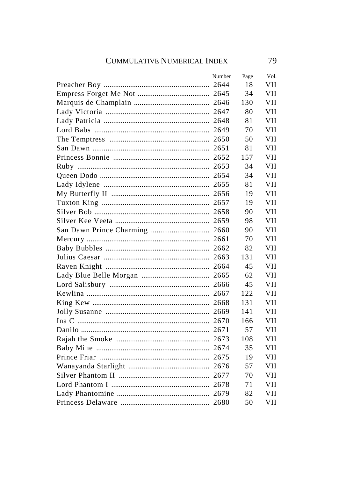| Number | Page | Vol.       |
|--------|------|------------|
|        | 18   | VH         |
|        | 34   | VH         |
|        | 130  | VH         |
|        | 80   | VH         |
|        | 81   | VH         |
|        | 70   | VH         |
|        | 50   | VH         |
|        | 81   | VH         |
|        | 157  | VH         |
|        | 34   | <b>VII</b> |
|        | 34   | VH         |
|        | 81   | <b>VII</b> |
|        | 19   | VH         |
|        | 19   | <b>VII</b> |
|        | 90   | <b>VII</b> |
|        | 98   | VH         |
|        | 90   | <b>VII</b> |
|        | 70   | VH         |
|        | 82   | VH         |
|        | 131  | VH         |
|        | 45   | VH         |
|        | 62   | VH         |
|        | 45   | VH         |
|        | 122  | VH         |
|        | 131  | VH         |
|        | 141  | VH         |
|        | 166  | VH         |
|        | 57   | VH         |
|        | 108  | VH         |
|        | 35   | VH         |
|        | 19   | VII        |
|        | 57   | VH         |
|        | 70   | VII        |
|        | 71   | VH         |
|        | 82   | VII        |
|        | 50   | VII        |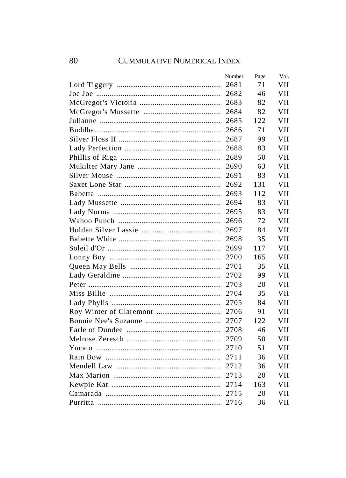| Number | Page | Vol. |
|--------|------|------|
| 2681   | 71   | VH   |
| 2682   | 46   | VII  |
| 2683   | 82   | VII  |
| 2684   | 82   | VII  |
| 2685   | 122  | VII  |
| 2686   | 71   | VH   |
| 2687   | 99   | VH   |
| 2688   | 83   | VH   |
| 2689   | 50   | VH   |
| 2690   | 63   | VH   |
| 2691   | 83   | VH   |
| 2692   | 131  | VH   |
| 2693   | 112  | VH   |
| 2694   | 83   | VII  |
| 2695   | 83   | VH   |
| 2696   | 72   | VII  |
| 2697   | 84   | VII  |
| 2698   | 35   | VII  |
| 2699   | 117  | VII  |
| 2700   | 165  | VII  |
| 2701   | 35   | VII  |
| 2702   | 99   | VII  |
| 2703   | 20   | VII  |
| 2704   | 35   | VH   |
| 2705   | 84   | VH   |
| 2706   | 91   | VH   |
| 2707   | 122  | VH   |
| 2708   | 46   | VH   |
| 2709   | 50   | VH   |
| 2710   | 51   | VH   |
| 2711   | 36   | VII  |
| 2712   | 36   | VII  |
| 2713   | 20   | VII  |
| 2714   | 163  | VII  |
| 2715   | 20   | VII  |
| 2716   | 36   | VII  |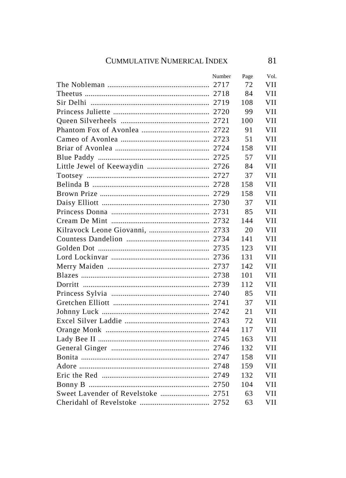| Number | Page | Vol.       |
|--------|------|------------|
|        | 72   | VH         |
|        | 84   | VII        |
|        | 108  | VII        |
|        | 99   | VII        |
|        | 100  | VII        |
|        | 91   | VII        |
|        | 51   | VII        |
|        | 158  | VII        |
|        | 57   | VII        |
|        | 84   | <b>VII</b> |
|        | 37   | VII        |
|        | 158  | VII        |
|        | 158  | VH         |
|        | 37   | VH         |
|        | 85   | VH         |
|        | 144  | VII        |
|        | 20   | <b>VII</b> |
|        | 141  | VII        |
|        | 123  | VII        |
|        | 131  | VII        |
|        | 142  | VII        |
|        | 101  | VII        |
|        | 112  | VII        |
|        | 85   | VH         |
|        | 37   | VH         |
|        | 21   | VH         |
|        | 72   | VH         |
|        | 117  | VII        |
|        | 163  | VII        |
|        | 132  | VII        |
|        | 158  | VII        |
|        | 159  | VII        |
|        | 132  | VII        |
|        | 104  | VII        |
|        | 63   | VII        |
|        | 63   | VII        |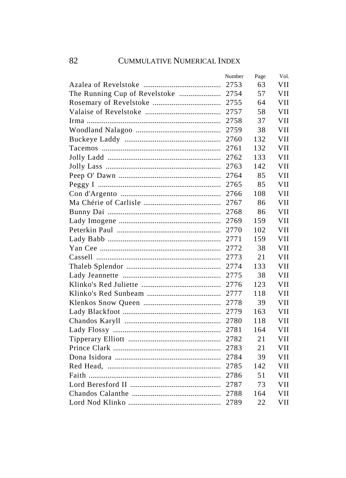| Number | Page | Vol. |
|--------|------|------|
| 2753   | 63   | VH   |
| 2754   | 57   | VII  |
| 2755   | 64   | VII  |
| 2757   | 58   | VII  |
| 2758   | 37   | VH   |
| 2759   | 38   | VH   |
| 2760   | 132  | VH   |
| 2761   | 132  | VH   |
| 2762   | 133  | VH   |
| 2763   | 142  | VH   |
| 2764   | 85   | VII  |
| 2765   | 85   | VII  |
| 2766   | 108  | VH   |
| 2767   | 86   | VH   |
| 2768   | 86   | VH   |
| 2769   | 159  | VII  |
| 2770   | 102  | VH   |
| 2771   | 159  | VH   |
| 2772   | 38   | VH   |
| 2773   | 21   | VH   |
| 2774   | 133  | VII  |
| 2775   | 38   | VII  |
| 2776   | 123  | VII  |
| 2777   | 118  | VII  |
| 2778   | 39   | VII  |
| 2779   | 163  | VH   |
| 2780   | 118  | VII  |
| 2781   | 164  | VII  |
| 2782   | 21   | VH   |
| 2783   | 21   | VH   |
| 2784   | 39   | VII  |
| 2785   | 142  | VII  |
| 2786   | 51   | VII  |
| 2787   | 73   | VII  |
| 2788   | 164  | VII  |
| 2789   | 22   | VII  |
|        |      |      |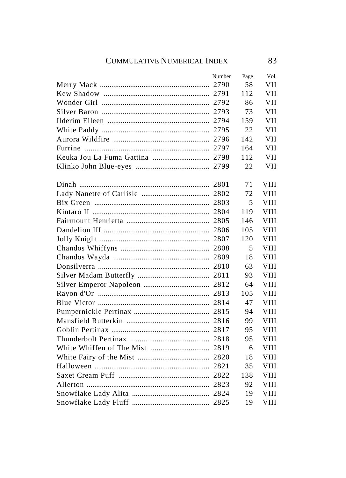| Number | Page | Vol.        |
|--------|------|-------------|
|        | 58   | VH          |
|        | 112  | VII         |
|        | 86   | <b>VII</b>  |
|        | 73   | VII         |
|        | 159  | <b>VII</b>  |
|        | 22   | <b>VII</b>  |
|        | 142  | <b>VII</b>  |
|        | 164  | <b>VII</b>  |
|        | 112  | VII         |
|        | 22   | VH          |
|        | 71   | <b>VIII</b> |
|        | 72   | <b>VIII</b> |
|        | 5    | <b>VIII</b> |
|        | 119  | <b>VIII</b> |
|        | 146  | <b>VIII</b> |
|        | 105  | <b>VIII</b> |
|        | 120  | <b>VIII</b> |
|        | 5    | <b>VIII</b> |
|        | 18   | <b>VIII</b> |
|        | 63   | VIII        |
|        | 93   | VIII        |
|        | 64   | VIII        |
|        | 105  | <b>VIII</b> |
|        | 47   | <b>VIII</b> |
|        | 94   | <b>VIII</b> |
|        | 99   | <b>VIII</b> |
|        | 95   | <b>VIII</b> |
|        | 95   | <b>VIII</b> |
|        | 6    | <b>VIII</b> |
|        | 18   | <b>VIII</b> |
|        | 35   | VIII        |
|        | 138  | VIII        |
|        | 92   | VIII        |
|        | 19   | VIII        |
|        | 19   | <b>VIII</b> |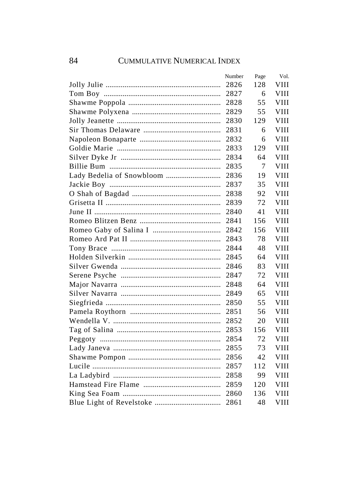| Number | Page | Vol.        |
|--------|------|-------------|
| 2826   | 128  | VIII        |
| 2827   | 6    | VIII        |
| 2828   | 55   | VIII        |
| 2829   | 55   | VIII        |
| 2830   | 129  | VIII        |
| 2831   | 6    | VIII        |
| 2832   | 6    | VIII        |
| 2833   | 129  | <b>VIII</b> |
| 2834   | 64   | <b>VIII</b> |
| 2835   | 7    | <b>VIII</b> |
| 2836   | 19   | <b>VIII</b> |
| 2837   | 35   | <b>VIII</b> |
| 2838   | 92   | <b>VIII</b> |
| 2839   | 72   | VIII        |
| 2840   | 41   | <b>VIII</b> |
| 2841   | 156  | VIII        |
| 2842   | 156  | <b>VIII</b> |
| 2843   | 78   | VIII        |
| 2844   | 48   | VIII        |
| 2845   | 64   | VIII        |
| 2846   | 83   | VIII        |
| 2847   | 72   | <b>VIII</b> |
| 2848   | 64   | VIII        |
| 2849   | 65   | <b>VIII</b> |
| 2850   | 55   | <b>VIII</b> |
| 2851   | 56   | VIII        |
| 2852   | 20   | VIII        |
| 2853   | 156  | <b>VIII</b> |
| 2854   | 72   | <b>VIII</b> |
| 2855   | 73   | <b>VIII</b> |
| 2856   | 42   | VIII        |
| 2857   | 112  | VIII        |
| 2858   | 99   | VIII        |
| 2859   | 120  | VIII        |
| 2860   | 136  | VIII        |
| 2861   | 48   | <b>VIII</b> |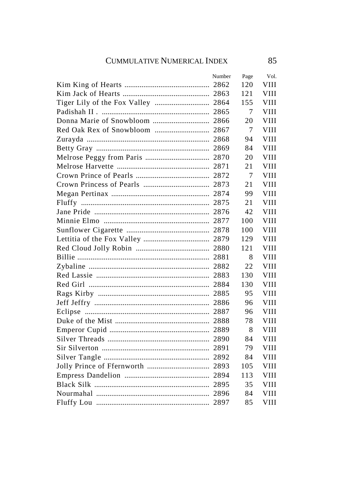| Number | Page | Vol.        |
|--------|------|-------------|
|        | 120  | VIII        |
|        | 121  | VIII        |
|        | 155  | VIII        |
|        | 7    | VIII        |
|        | 20   | <b>VIII</b> |
|        | 7    | VIII        |
|        | 94   | <b>VIII</b> |
|        | 84   | <b>VIII</b> |
|        | 20   | <b>VIII</b> |
|        | 21   | <b>VIII</b> |
|        | 7    | VIII        |
|        | 21   | VIII        |
|        | 99   | VIII        |
|        | 21   | VIII        |
|        | 42   | VIII        |
|        | 100  | <b>VIII</b> |
|        | 100  | VIII        |
|        | 129  | VIII        |
|        | 121  | VIII        |
|        | 8    | VIII        |
|        | 22   | VIII        |
|        | 130  | VIII        |
|        | 130  | VIII        |
|        | 95   | VIII        |
|        | 96   | VIII        |
|        | 96   | VIII        |
|        | 78   | VIII        |
|        | 8    | VIII        |
|        | 84   | VIII        |
|        | 79   | VIII        |
|        | 84   | VIII        |
|        | 105  | VIII        |
|        | 113  | VIII        |
|        | 35   | VIII        |
|        | 84   | VIII        |
|        | 85   | <b>VIII</b> |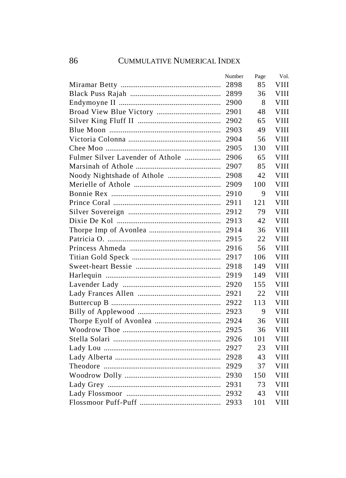|                                  | Number | Page | Vol.        |
|----------------------------------|--------|------|-------------|
|                                  | 2898   | 85   | VIII        |
|                                  | 2899   | 36   | VIII        |
|                                  | 2900   | 8    | VIII        |
|                                  | 2901   | 48   | VIII        |
|                                  | 2902   | 65   | VIII        |
|                                  | 2903   | 49   | VIII        |
|                                  | 2904   | 56   | VIII        |
|                                  | 2905   | 130  | VIII        |
| Fulmer Silver Lavender of Athole | 2906   | 65   | VIII        |
|                                  | 2907   | 85   | VIII        |
|                                  | 2908   | 42   | VIII        |
|                                  | 2909   | 100  | <b>VIII</b> |
|                                  | 2910   | 9    | <b>VIII</b> |
|                                  | 2911   | 121  | <b>VIII</b> |
|                                  | 2912   | 79   | <b>VIII</b> |
|                                  | 2913   | 42   | <b>VIII</b> |
|                                  | 2914   | 36   | <b>VIII</b> |
|                                  | 2915   | 22   | <b>VIII</b> |
|                                  | 2916   | 56   | VIII        |
|                                  | 2917   | 106  | VIII        |
|                                  | 2918   | 149  | VIII        |
|                                  | 2919   | 149  | <b>VIII</b> |
|                                  | 2920   | 155  | <b>VIII</b> |
|                                  | 2921   | 22   | VIII        |
|                                  | 2922   | 113  | <b>VIII</b> |
|                                  | 2923   | 9    | <b>VIII</b> |
|                                  | 2924   | 36   | <b>VIII</b> |
|                                  | 2925   | 36   | <b>VIII</b> |
|                                  | 2926   | 101  | <b>VIII</b> |
|                                  | 2927   | 23   | <b>VIII</b> |
|                                  | 2928   | 43   | VIII        |
|                                  | 2929   | 37   | VIII        |
|                                  | 2930   | 150  | VIII        |
|                                  | 2931   | 73   | VIII        |
|                                  | 2932   | 43   | VIII        |
|                                  | 2933   | 101  | VIII        |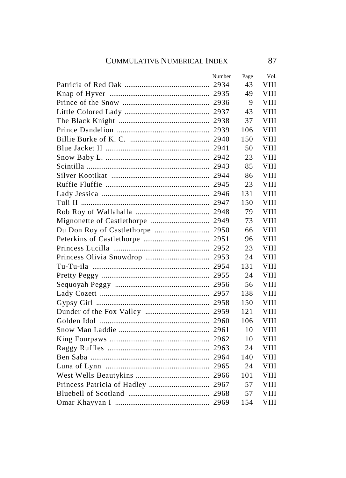| Number | Page | Vol.        |
|--------|------|-------------|
|        | 43   | <b>VIII</b> |
|        | 49   | VIII        |
|        | 9    | VIII        |
|        | 43   | VIII        |
|        | 37   | <b>VIII</b> |
|        | 106  | <b>VIII</b> |
|        | 150  | VIII        |
|        | 50   | <b>VIII</b> |
|        | 23   | VIII        |
|        | 85   | <b>VIII</b> |
|        | 86   | <b>VIII</b> |
|        | 23   | VIII        |
|        | 131  | VIII        |
|        | 150  | <b>VIII</b> |
|        | 79   | VIII        |
|        | 73   | VIII        |
|        | 66   | <b>VIII</b> |
|        | 96   | VIII        |
|        | 23   | VIII        |
|        | 24   | <b>VIII</b> |
|        | 131  | VIII        |
|        | 24   | VIII        |
|        | 56   | VIII        |
|        | 138  | <b>VIII</b> |
|        | 150  | VIII        |
|        | 121  | VIII        |
|        | 106  | VIII        |
|        | 10   | VIII        |
|        | 10   | VIII        |
|        | 24   | VIII        |
|        | 140  | VIII        |
|        | 24   | VIII        |
|        | 101  | VIII        |
|        | 57   | VIII        |
|        | 57   | VIII        |
|        | 154  | VIII        |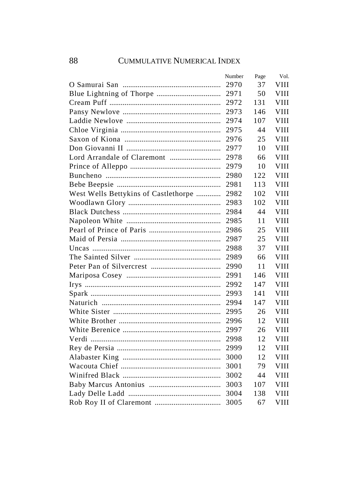|                                      | Number | Page | Vol.        |
|--------------------------------------|--------|------|-------------|
|                                      | 2970   | 37   | VIII        |
|                                      | 2971   | 50   | VIII        |
|                                      | 2972   | 131  | VIII        |
|                                      | 2973   | 146  | VIII        |
|                                      | 2974   | 107  | VIII        |
|                                      | 2975   | 44   | VIII        |
|                                      | 2976   | 25   | VIII        |
|                                      | 2977   | 10   | VIII        |
|                                      | 2978   | 66   | VIII        |
|                                      | 2979   | 10   | VIII        |
|                                      | 2980   | 122  | VIII        |
|                                      | 2981   | 113  | <b>VIII</b> |
| West Wells Bettykins of Castlethorpe | 2982   | 102  | <b>VIII</b> |
|                                      | 2983   | 102  | <b>VIII</b> |
|                                      | 2984   | 44   | VIII        |
|                                      | 2985   | 11   | <b>VIII</b> |
|                                      | 2986   | 25   | <b>VIII</b> |
|                                      | 2987   | 25   | VIII        |
|                                      | 2988   | 37   | VIII        |
|                                      | 2989   | 66   | VIII        |
|                                      | 2990   | 11   | VIII        |
|                                      | 2991   | 146  | VIII        |
|                                      | 2992   | 147  | VIII        |
|                                      | 2993   | 141  | VIII        |
|                                      | 2994   | 147  | <b>VIII</b> |
|                                      | 2995   | 26   | <b>VIII</b> |
|                                      | 2996   | 12   | <b>VIII</b> |
|                                      | 2997   | 26   | <b>VIII</b> |
|                                      | 2998   | 12   | <b>VIII</b> |
|                                      | 2999   | 12   | <b>VIII</b> |
|                                      | 3000   | 12   | VIII        |
|                                      | 3001   | 79   | VIII        |
|                                      | 3002   | 44   | VIII        |
|                                      | 3003   | 107  | VIII        |
|                                      | 3004   | 138  | VIII        |
|                                      | 3005   | 67   | VIII        |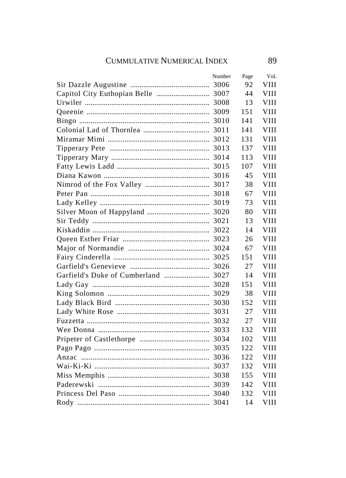|                                     | Number | Page | Vol. |
|-------------------------------------|--------|------|------|
|                                     |        | 92   | VIII |
|                                     |        | 44   | VIII |
|                                     |        | 13   | VIII |
|                                     |        | 151  | VIII |
|                                     |        | 141  | VIII |
|                                     |        | 141  | VIII |
|                                     |        | 131  | VIII |
|                                     |        | 137  | VIII |
|                                     |        | 113  | VIII |
|                                     |        | 107  | VIII |
|                                     |        | 45   | VIII |
|                                     |        | 38   | VIII |
|                                     |        | 67   | VIII |
|                                     |        | 73   | VIII |
|                                     |        | 80   | VIII |
|                                     |        | 13   | VIII |
|                                     |        | 14   | VIII |
|                                     |        | 26   | VIII |
|                                     |        | 67   | VIII |
|                                     |        | 151  | VIII |
|                                     |        | 27   | VIII |
| Garfield's Duke of Cumberland  3027 |        | 14   | VIII |
|                                     |        | 151  | VIII |
|                                     |        | 38   | VIII |
|                                     |        | 152  | VIII |
|                                     |        | 27   | VIII |
|                                     |        | 27   | VIII |
|                                     |        | 132  | VIII |
|                                     |        | 102  | VIII |
|                                     |        | 122  | VIII |
|                                     |        | 122  | VIII |
|                                     |        | 132  | VIII |
|                                     |        | 155  | VIII |
|                                     |        | 142  | VIII |
|                                     |        | 132  | VIII |
|                                     |        | 14   | VIII |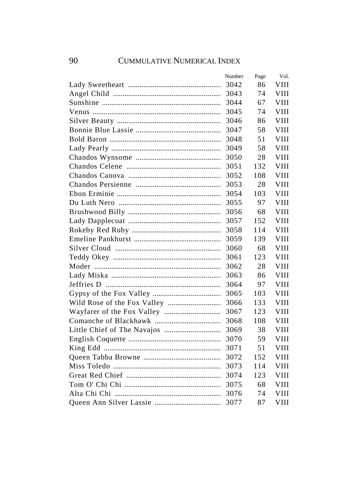| Number | Page | Vol.        |
|--------|------|-------------|
| 3042   | 86   | VIII        |
| 3043   | 74   | VIII        |
| 3044   | 67   | VIII        |
| 3045   | 74   | VIII        |
| 3046   | 86   | VIII        |
| 3047   | 58   | VIII        |
| 3048   | 51   | <b>VIII</b> |
| 3049   | 58   | VIII        |
| 3050   | 28   | VIII        |
| 3051   | 132  | VIII        |
| 3052   | 108  | VIII        |
| 3053   | 28   | VIII        |
| 3054   | 103  | VIII        |
| 3055   | 97   | VIII        |
| 3056   | 68   | VIII        |
| 3057   | 152  | VIII        |
| 3058   | 114  | VIII        |
| 3059   | 139  | VIII        |
| 3060   | 68   | VIII        |
| 3061   | 123  | VIII        |
| 3062   | 28   | VIII        |
| 3063   | 86   | VIII        |
| 3064   | 97   | VIII        |
| 3065   | 103  | VIII        |
| 3066   | 133  | <b>VIII</b> |
| 3067   | 123  | VIII        |
| 3068   | 108  | VIII        |
| 3069   | 38   | <b>VIII</b> |
| 3070   | 59   | <b>VIII</b> |
| 3071   | 51   | <b>VIII</b> |
| 3072   | 152  | VIII        |
| 3073   | 114  | VIII        |
| 3074   | 123  | VIII        |
| 3075   | 68   | VIII        |
| 3076   | 74   | VIII        |
| 3077   | 87   | VIII        |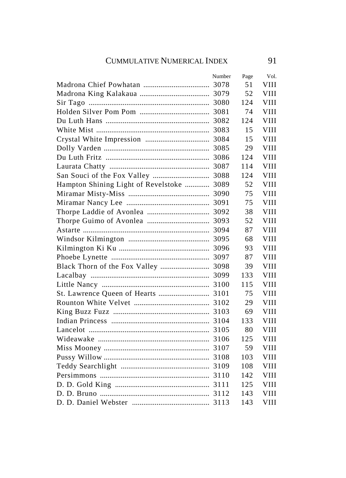|                                           | Number | Page | Vol.        |
|-------------------------------------------|--------|------|-------------|
|                                           |        | 51   | VIII        |
|                                           |        | 52   | VIII        |
|                                           |        | 124  | VIII        |
|                                           |        | 74   | <b>VIII</b> |
|                                           |        | 124  | <b>VIII</b> |
|                                           |        | 15   | <b>VIII</b> |
|                                           |        | 15   | <b>VIII</b> |
|                                           |        | 29   | <b>VIII</b> |
|                                           |        | 124  | <b>VIII</b> |
|                                           |        | 114  | <b>VIII</b> |
|                                           |        | 124  | <b>VIII</b> |
| Hampton Shining Light of Revelstoke  3089 |        | 52   | <b>VIII</b> |
|                                           |        | 75   | VIII        |
|                                           |        | 75   | VIII        |
|                                           |        | 38   | VIII        |
|                                           |        | 52   | VIII        |
|                                           |        | 87   | VIII        |
|                                           |        | 68   | VIII        |
|                                           |        | 93   | <b>VIII</b> |
|                                           |        | 87   | VIII        |
| Black Thorn of the Fox Valley  3098       |        | 39   | VIII        |
|                                           |        | 133  | VIII        |
|                                           |        | 115  | VIII        |
|                                           |        | 75   | VIII        |
|                                           |        | 29   | VIII        |
|                                           |        | 69   | VIII        |
|                                           |        | 133  | VIII        |
|                                           |        | 80   | VIII        |
|                                           |        | 125  | VIII        |
|                                           |        | 59   | VIII        |
|                                           |        | 103  | VIII        |
|                                           |        | 108  | VIII        |
|                                           |        | 142  | VIII        |
|                                           |        | 125  | VIII        |
|                                           |        | 143  | VIII        |
|                                           |        | 143  | <b>VIII</b> |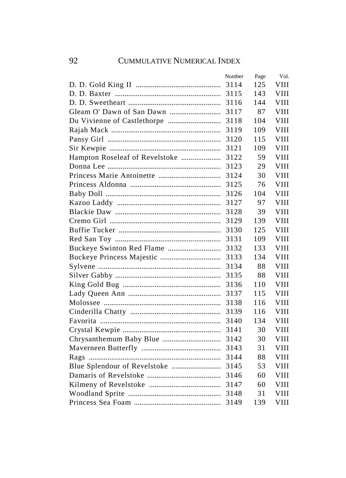|                                | Number | Page | Vol.        |
|--------------------------------|--------|------|-------------|
|                                | 3114   | 125  | VIII        |
|                                |        | 143  | VIII        |
|                                | 3116   | 144  | VIII        |
|                                | 3117   | 87   | VIII        |
|                                | 3118   | 104  | VIII        |
|                                | 3119   | 109  | VIII        |
|                                | 3120   | 115  | VIII        |
|                                | 3121   | 109  | VIII        |
| Hampton Roseleaf of Revelstoke | 3122   | 59   | VIII        |
|                                | 3123   | 29   | VIII        |
|                                | 3124   | 30   | VIII        |
|                                | 3125   | 76   | VIII        |
|                                | 3126   | 104  | <b>VIII</b> |
|                                | 3127   | 97   | VIII        |
|                                | 3128   | 39   | VIII        |
|                                | 3129   | 139  | VIII        |
|                                | 3130   | 125  | <b>VIII</b> |
|                                | 3131   | 109  | <b>VIII</b> |
|                                | 3132   | 133  | VIII        |
|                                | 3133   | 134  | VIII        |
|                                | 3134   | 88   | VIII        |
|                                | 3135   | 88   | VIII        |
|                                | 3136   | 110  | VIII        |
|                                | 3137   | 115  | VIII        |
|                                | 3138   | 116  | <b>VIII</b> |
|                                | 3139   | 116  | <b>VIII</b> |
|                                | 3140   | 134  | <b>VIII</b> |
|                                | 3141   | 30   | <b>VIII</b> |
|                                | 3142   | 30   | <b>VIII</b> |
|                                | 3143   | 31   | <b>VIII</b> |
|                                | 3144   | 88   | VIII        |
|                                |        | 53   | VIII        |
|                                | 3146   | 60   | VIII        |
|                                | 3147   | 60   | VIII        |
|                                |        | 31   | VIII        |
|                                | 3149   | 139  | VIII        |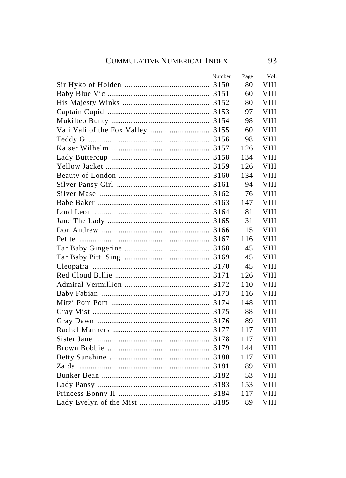| Number | Page | Vol. |
|--------|------|------|
|        | 80   | VIII |
|        | 60   | VIII |
|        | 80   | VIII |
|        | 97   | VIII |
|        | 98   | VIII |
|        | 60   | VIII |
|        | 98   | VIII |
|        | 126  | VIII |
|        | 134  | VIII |
|        | 126  | VIII |
|        | 134  | VIII |
|        | 94   | VIII |
|        | 76   | VIII |
|        | 147  | VIII |
|        | 81   | VIII |
|        | 31   | VIII |
|        | 15   | VIII |
|        | 116  | VIII |
|        | 45   | VIII |
|        | 45   | VIII |
|        | 45   | VIII |
|        | 126  | VIII |
|        | 110  | VIII |
|        | 116  | VIII |
|        | 148  | VIII |
|        | 88   | VIII |
|        | 89   | VIII |
|        | 117  | VIII |
|        | 117  | VIII |
|        | 144  | VIII |
|        | 117  | VIII |
|        | 89   | VIII |
|        | 53   | VIII |
|        | 153  | VIII |
|        | 117  | VIII |
|        | 89   | VIII |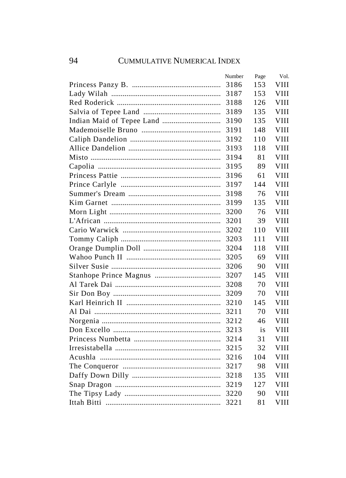| Number | Page | Vol.        |
|--------|------|-------------|
| 3186   | 153  | VIII        |
| 3187   | 153  | VIII        |
| 3188   | 126  | VIII        |
| 3189   | 135  | VIII        |
| 3190   | 135  | <b>VIII</b> |
| 3191   | 148  | <b>VIII</b> |
| 3192   | 110  | VIII        |
| 3193   | 118  | VIII        |
| 3194   | 81   | VIII        |
| 3195   | 89   | VIII        |
| 3196   | 61   | VIII        |
| 3197   | 144  | <b>VIII</b> |
| 3198   | 76   | VIII        |
| 3199   | 135  | VIII        |
| 3200   | 76   | <b>VIII</b> |
| 3201   | 39   | <b>VIII</b> |
| 3202   | 110  | VIII        |
| 3203   | 111  | <b>VIII</b> |
| 3204   | 118  | <b>VIII</b> |
| 3205   | 69   | VIII        |
| 3206   | 90   | <b>VIII</b> |
| 3207   | 145  | <b>VIII</b> |
| 3208   | 70   | <b>VIII</b> |
| 3209   | 70   | VIII        |
| 3210   | 145  | VIII        |
| 3211   | 70   | VIII        |
| 3212   | 46   | VIII        |
| 3213   | is   | <b>VIII</b> |
| 3214   | 31   | <b>VIII</b> |
| 3215   | 32   | <b>VIII</b> |
| 3216   | 104  | VIII        |
| 3217   | 98   | VIII        |
| 3218   | 135  | VIII        |
| 3219   | 127  | VIII        |
| 3220   | 90   | VIII        |
| 3221   | 81   | VIII        |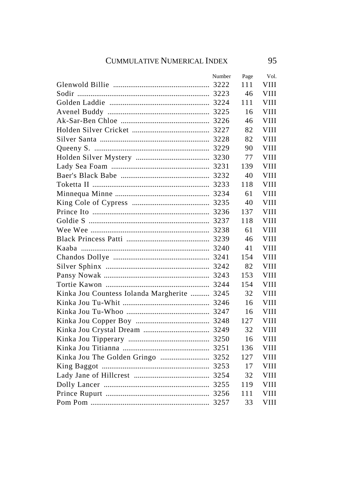|                                             | Number | Page | Vol.        |
|---------------------------------------------|--------|------|-------------|
|                                             |        | 111  | VIII        |
|                                             |        | 46   | VIII        |
|                                             |        | 111  | VIII        |
|                                             |        | 16   | <b>VIII</b> |
|                                             |        | 46   | VIII        |
|                                             |        | 82   | VIII        |
|                                             |        | 82   | VIII        |
|                                             |        | 90   | VIII        |
|                                             |        | 77   | VIII        |
|                                             |        | 139  | VIII        |
|                                             |        | 40   | VIII        |
|                                             |        | 118  | VIII        |
|                                             |        | 61   | VIII        |
|                                             |        | 40   | VIII        |
|                                             |        | 137  | VIII        |
|                                             |        | 118  | VIII        |
|                                             |        | 61   | VIII        |
|                                             |        | 46   | VIII        |
|                                             |        | 41   | VIII        |
|                                             |        | 154  | VIII        |
|                                             |        | 82   | VIII        |
|                                             |        | 153  | VIII        |
|                                             |        | 154  | VIII        |
| Kinka Jou Countess Iolanda Margherite  3245 |        | 32   | VIII        |
|                                             |        | 16   | VIII        |
|                                             |        | 16   | VIII        |
|                                             |        | 127  | VIII        |
|                                             |        | 32   | VIII        |
|                                             |        | 16   | VIII        |
|                                             |        | 136  | VIII        |
| Kinka Jou The Golden Gringo  3252           |        | 127  | VIII        |
|                                             |        | 17   | VIII        |
|                                             |        | 32   | VIII        |
|                                             |        | 119  | VIII        |
|                                             |        | 111  | VIII        |
|                                             |        | 33   | VIII        |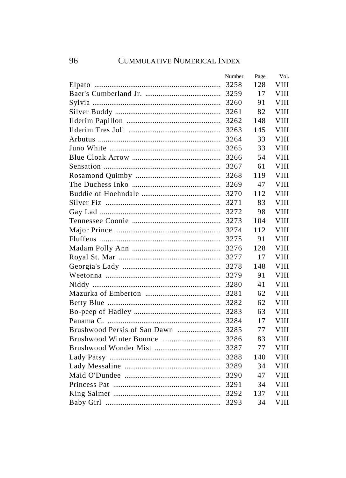| Number | Page | Vol.        |
|--------|------|-------------|
| 3258   | 128  | VIII        |
|        | 17   | VIII        |
| 3260   | 91   | VIII        |
| 3261   | 82   | VIII        |
| 3262   | 148  | VIII        |
| 3263   | 145  | VIII        |
| 3264   | 33   | VIII        |
| 3265   | 33   | VIII        |
| 3266   | 54   | VIII        |
| 3267   | 61   | VIII        |
| 3268   | 119  | VIII        |
| 3269   | 47   | VIII        |
| 3270   | 112  | VIII        |
| 3271   | 83   | VIII        |
| 3272   | 98   | VIII        |
| 3273   | 104  | <b>VIII</b> |
|        | 112  | <b>VIII</b> |
|        | 91   | <b>VIII</b> |
|        | 128  | <b>VIII</b> |
| 3277   | 17   | VIII        |
| 3278   | 148  | VIII        |
| 3279   | 91   | <b>VIII</b> |
| 3280   | 41   | VIII        |
| 3281   | 62   | VIII        |
| 3282   | 62   | VIII        |
| 3283   | 63   | VIII        |
| 3284   | 17   | VIII        |
| 3285   | 77   | <b>VIII</b> |
| 3286   | 83   | <b>VIII</b> |
| 3287   | 77   | <b>VIII</b> |
| 3288   | 140  | VIII        |
|        | 34   | VIII        |
| 3290   | 47   | VIII        |
| 3291   | 34   | VIII        |
| 3292   | 137  | VIII        |
| 3293   | 34   | VIII        |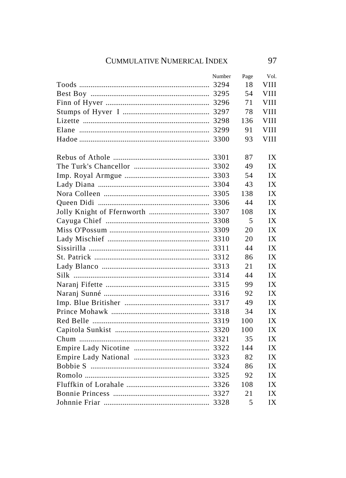| Number | Page | Vol.        |
|--------|------|-------------|
|        | 18   | VIII        |
|        | 54   | VIII        |
|        | 71   | VIII        |
|        | 78   | VIII        |
|        | 136  | <b>VIII</b> |
|        | 91   | VIII        |
| 3300   | 93   | <b>VIII</b> |
|        | 87   | IX          |
|        | 49   | IX          |
|        | 54   | IX          |
|        | 43   | IX          |
|        | 138  | IX          |
|        | 44   | IX          |
|        | 108  | IX          |
|        | 5    | IX          |
|        | 20   | IX          |
|        | 20   | IX          |
|        | 44   | IX          |
|        | 86   | IX          |
|        | 21   | IX          |
|        | 44   | IX          |
|        | 99   | IX          |
|        | 92   | IX          |
|        | 49   | IX          |
|        | 34   | IX          |
|        | 100  | IX          |
|        | 100  | IX          |
|        | 35   | IX          |
|        | 144  | IX          |
|        | 82   | IX          |
|        | 86   | IX          |
|        | 92   | IX          |
|        | 108  | IX          |
|        | 21   | IX          |
|        | 5    | IX          |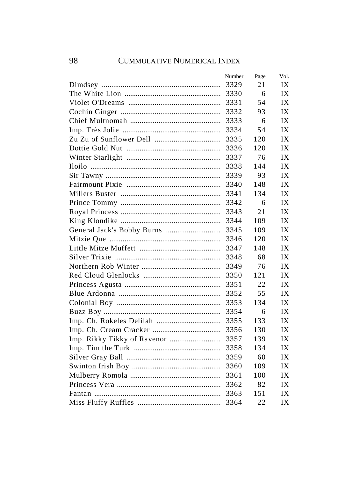| Number | Page | Vol. |
|--------|------|------|
| 3329   | 21   | IX   |
| 3330   | 6    | IX   |
| 3331   | 54   | IX   |
| 3332   | 93   | IX   |
| 3333   | 6    | IX   |
| 3334   | 54   | IX   |
| 3335   | 120  | IX   |
| 3336   | 120  | IX   |
| 3337   | 76   | IX   |
| 3338   | 144  | IX   |
| 3339   | 93   | IX   |
| 3340   | 148  | IX   |
| 3341   | 134  | IX   |
| 3342   | 6    | IX   |
| 3343   | 21   | IX   |
| 3344   | 109  | IX   |
| 3345   | 109  | IX   |
| 3346   | 120  | IX   |
| 3347   | 148  | IX   |
| 3348   | 68   | IX   |
| 3349   | 76   | IX   |
| 3350   | 121  | IX   |
| 3351   | 22   | IX   |
| 3352   | 55   | IX   |
| 3353   | 134  | IX   |
| 3354   | 6    | IX   |
| 3355   | 133  | IX   |
| 3356   | 130  | IX   |
| 3357   | 139  | IX   |
| 3358   | 134  | IX   |
| 3359   | 60   | IX   |
| 3360   | 109  | IX   |
| 3361   | 100  | IX   |
| 3362   | 82   | IX   |
| 3363   | 151  | IX   |
| 3364   | 22   | IX   |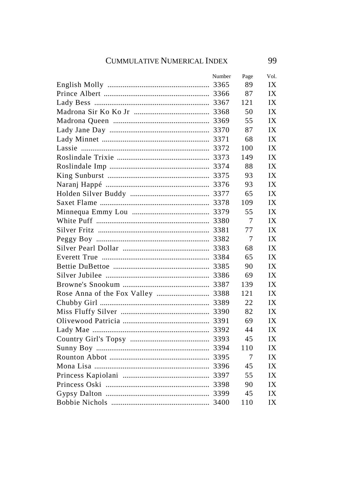| Number | Page | Vol. |
|--------|------|------|
|        | 89   | IX   |
|        | 87   | IX   |
|        | 121  | IX   |
|        | 50   | IX   |
|        | 55   | IX   |
|        | 87   | IX   |
|        | 68   | IX   |
|        | 100  | IX   |
|        | 149  | IX   |
|        | 88   | IX   |
|        | 93   | IX   |
|        | 93   | IX   |
|        | 65   | IX   |
|        | 109  | IX   |
|        | 55   | IX   |
|        | 7    | IX   |
|        | 77   | IX   |
|        | 7    | IX   |
|        | 68   | IX   |
|        | 65   | IX   |
|        | 90   | IX   |
|        | 69   | IX   |
|        | 139  | IX   |
|        | 121  | IX   |
|        | 22   | IX   |
|        | 82   | IX   |
|        | 69   | IX   |
|        | 44   | IX   |
|        | 45   | IX   |
|        | 110  | IX   |
|        | 7    | IX   |
|        | 45   | IX   |
|        | 55   | IX   |
|        | 90   | IX   |
|        | 45   | IX   |
|        | 110  | IX   |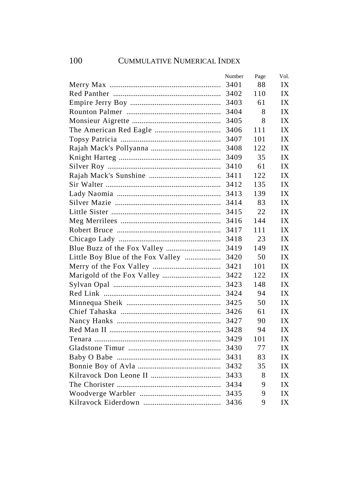|                                   | Number | Page | Vol. |
|-----------------------------------|--------|------|------|
|                                   | 3401   | 88   | IX   |
|                                   | 3402   | 110  | IX   |
|                                   | 3403   | 61   | IX   |
|                                   | 3404   | 8    | IX   |
|                                   | 3405   | 8    | IX   |
|                                   | 3406   | 111  | IX   |
|                                   | 3407   | 101  | IX   |
|                                   | 3408   | 122  | IX   |
|                                   | 3409   | 35   | IX   |
|                                   | 3410   | 61   | IX   |
|                                   | 3411   | 122  | IX   |
|                                   | 3412   | 135  | IX   |
|                                   | 3413   | 139  | IX   |
|                                   | 3414   | 83   | IX   |
|                                   | 3415   | 22   | IX   |
|                                   | 3416   | 144  | IX   |
|                                   | 3417   | 111  | IX   |
|                                   | 3418   | 23   | IX   |
|                                   | 3419   | 149  | IX   |
| Little Boy Blue of the Fox Valley | 3420   | 50   | IX   |
|                                   | 3421   | 101  | IX   |
|                                   | 3422   | 122  | IX   |
|                                   | 3423   | 148  | IX   |
|                                   | 3424   | 94   | IX   |
|                                   | 3425   | 50   | IX   |
|                                   | 3426   | 61   | IX   |
|                                   | 3427   | 90   | IX   |
|                                   | 3428   | 94   | IX   |
|                                   | 3429   | 101  | IX   |
|                                   | 3430   | 77   | IX   |
|                                   | 3431   | 83   | IX   |
|                                   | 3432   | 35   | IX   |
|                                   | 3433   | 8    | IX   |
|                                   | 3434   | 9    | IX   |
|                                   | 3435   | 9    | IX   |
|                                   | 3436   | 9    | IX   |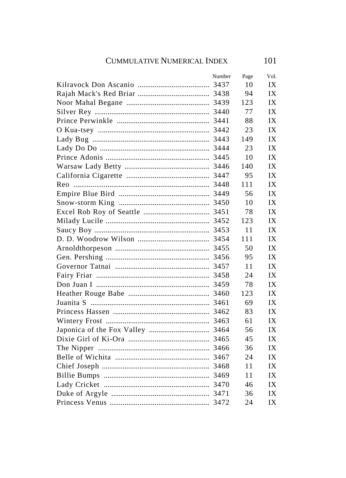| Number | Page | Vol. |
|--------|------|------|
|        | 10   | IX   |
|        | 94   | IX   |
|        | 123  | IX   |
|        | 77   | IX   |
|        | 88   | IX   |
|        | 23   | IX   |
|        | 149  | IX   |
|        | 23   | IX   |
|        | 10   | IX   |
|        | 140  | IX   |
|        | 95   | IX   |
|        | 111  | IX   |
|        | 56   | IX   |
|        | 10   | IX   |
|        | 78   | IX   |
|        | 123  | IX   |
|        | 11   | IX   |
|        | 111  | IX   |
|        | 50   | IX   |
|        | 95   | IX   |
|        | 11   | IX   |
|        | 24   | IX   |
|        | 78   | IX   |
|        | 123  | IX   |
|        | 69   | IX   |
|        | 83   | IX   |
|        | 61   | IX   |
|        | 56   | IX   |
|        | 45   | IX   |
|        | 36   | IX   |
|        | 24   | IX   |
|        | 11   | IX   |
|        | 11   | IX   |
|        | 46   | IX   |
|        | 36   | IX   |
|        | 24   | IX   |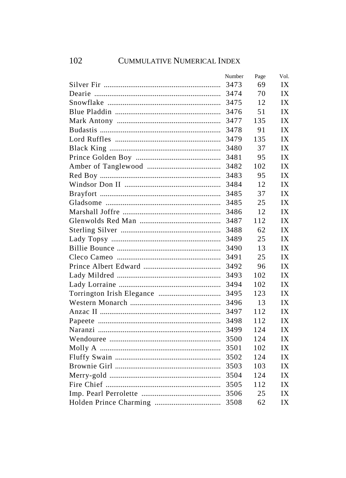| Number | Page | Vol. |
|--------|------|------|
| 3473   | 69   | IX   |
| 3474   | 70   | IX   |
| 3475   | 12   | IX   |
| 3476   | 51   | IX   |
| 3477   | 135  | IX   |
| 3478   | 91   | IX   |
| 3479   | 135  | IX   |
| 3480   | 37   | IX   |
| 3481   | 95   | IX   |
| 3482   | 102  | IX   |
| 3483   | 95   | IX   |
| 3484   | 12   | IX   |
| 3485   | 37   | IX   |
| 3485   | 25   | IX   |
| 3486   | 12   | IX   |
| 3487   | 112  | IX   |
| 3488   | 62   | IX   |
| 3489   | 25   | IX   |
| 3490   | 13   | IX   |
| 3491   | 25   | IX   |
| 3492   | 96   | IX   |
| 3493   | 102  | IX   |
| 3494   | 102  | IX   |
| 3495   | 123  | IX   |
| 3496   | 13   | IX   |
| 3497   | 112  | IX   |
| 3498   | 112  | IX   |
| 3499   | 124  | IX   |
| 3500   | 124  | IX   |
| 3501   | 102  | IX   |
| 3502   | 124  | IX   |
| 3503   | 103  | IX   |
| 3504   | 124  | IX   |
| 3505   | 112  | IX   |
| 3506   | 25   | IX   |
| 3508   | 62   | IX   |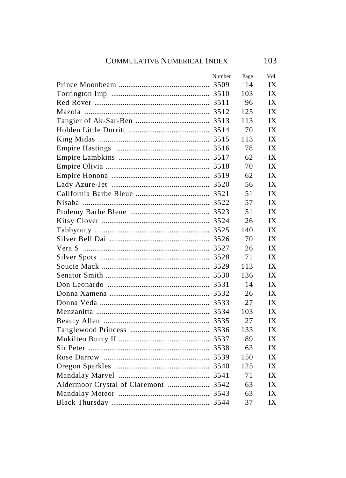| Number | Page | Vol. |
|--------|------|------|
|        | 14   | IX   |
|        | 103  | IX   |
|        | 96   | IX   |
|        | 125  | IX   |
|        | 113  | IX   |
|        | 70   | IX   |
|        | 113  | IX   |
|        | 78   | IX   |
|        | 62   | IX   |
|        | 70   | IX   |
|        | 62   | IX   |
|        | 56   | IX   |
|        | 51   | IX   |
|        | 57   | IX   |
|        | 51   | IX   |
|        | 26   | IX   |
|        | 140  | IX   |
|        | 70   | IX   |
|        | 26   | IX   |
|        | 71   | IX   |
|        | 113  | IX   |
|        | 136  | IX   |
|        | 14   | IX   |
|        | 26   | IX   |
|        | 27   | IX   |
|        | 103  | IX   |
|        | 27   | IX   |
|        | 133  | IX   |
|        | 89   | IX   |
|        | 63   | IX   |
|        | 150  | IX   |
|        | 125  | IX   |
|        | 71   | IX   |
|        | 63   | IX   |
|        | 63   | IX   |
|        | 37   | IX   |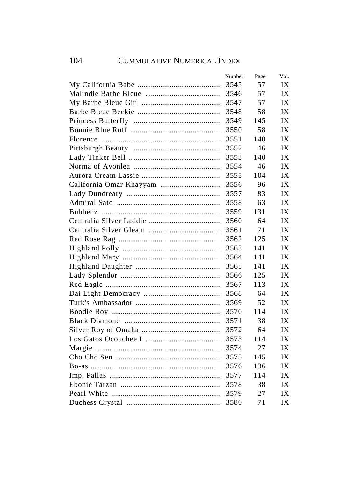| Number | Page | Vol. |
|--------|------|------|
| 3545   | 57   | IX   |
| 3546   | 57   | IX   |
| 3547   | 57   | IX   |
| 3548   | 58   | IX   |
| 3549   | 145  | IX   |
| 3550   | 58   | IX   |
| 3551   | 140  | IX   |
| 3552   | 46   | IX   |
| 3553   | 140  | IX   |
| 3554   | 46   | IX   |
| 3555   | 104  | IX   |
| 3556   | 96   | IX   |
| 3557   | 83   | IX   |
| 3558   | 63   | IX   |
| 3559   | 131  | IX   |
| 3560   | 64   | IX   |
| 3561   | 71   | IX   |
| 3562   | 125  | IX   |
| 3563   | 141  | IX   |
| 3564   | 141  | IX   |
| 3565   | 141  | IX   |
| 3566   | 125  | IX   |
| 3567   | 113  | IX   |
| 3568   | 64   | IX   |
| 3569   | 52   | IX   |
| 3570   | 114  | IX   |
| 3571   | 38   | IX   |
| 3572   | 64   | IX   |
| 3573   | 114  | IX   |
| 3574   | 27   | IX   |
| 3575   | 145  | IX   |
| 3576   | 136  | IX   |
| 3577   | 114  | IX   |
| 3578   | 38   | IX   |
| 3579   | 27   | IX   |
| 3580   | 71   | IX   |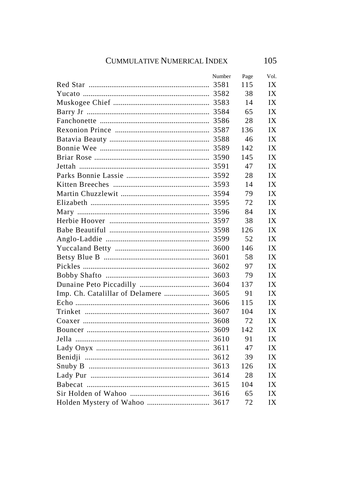|                                       | Number | Page | Vol. |
|---------------------------------------|--------|------|------|
|                                       |        | 115  | IX   |
|                                       |        | 38   | IX   |
|                                       |        | 14   | IX   |
|                                       |        | 65   | IX   |
|                                       |        | 28   | IX   |
|                                       |        | 136  | IX   |
|                                       |        | 46   | IX   |
|                                       |        | 142  | IX   |
|                                       |        | 145  | IX   |
|                                       |        | 47   | IX   |
|                                       |        | 28   | IX   |
|                                       |        | 14   | IX   |
|                                       |        | 79   | IX   |
|                                       |        | 72   | IX   |
|                                       |        | 84   | IX   |
|                                       |        | 38   | IX   |
|                                       |        | 126  | IX   |
|                                       |        | 52   | IX   |
|                                       |        | 146  | IX   |
|                                       |        | 58   | IX   |
|                                       |        | 97   | IX   |
|                                       |        | 79   | IX   |
|                                       |        | 137  | IX   |
| Imp. Ch. Catalillar of Delamere  3605 |        | 91   | IX   |
|                                       |        | 115  | IX   |
|                                       |        | 104  | IX   |
|                                       | 3608   | 72   | IX   |
|                                       | 3609   | 142  | IX   |
|                                       |        | 91   | IX   |
|                                       |        | 47   | IX   |
|                                       |        | 39   | IX   |
|                                       |        | 126  | IX   |
|                                       |        | 28   | IX   |
|                                       |        | 104  | IX   |
|                                       |        | 65   | IX   |
|                                       |        | 72   | IX   |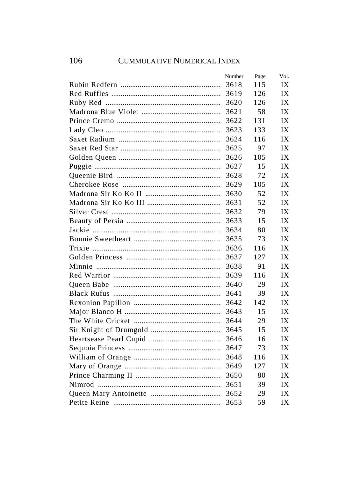| Number | Page | Vol. |
|--------|------|------|
| 3618   | 115  | IX   |
| 3619   | 126  | IX   |
| 3620   | 126  | IX   |
| 3621   | 58   | IX   |
| 3622   | 131  | IX   |
| 3623   | 133  | IX   |
| 3624   | 116  | IX   |
| 3625   | 97   | IX   |
| 3626   | 105  | IX   |
| 3627   | 15   | IX   |
| 3628   | 72   | IX   |
| 3629   | 105  | IX   |
| 3630   | 52   | IX   |
| 3631   | 52   | IX   |
| 3632   | 79   | IX   |
| 3633   | 15   | IX   |
| 3634   | 80   | IX   |
| 3635   | 73   | IX   |
| 3636   | 116  | IX   |
| 3637   | 127  | IX   |
| 3638   | 91   | IX   |
| 3639   | 116  | IX   |
| 3640   | 29   | IX   |
| 3641   | 39   | IX   |
| 3642   | 142  | IX   |
| 3643   | 15   | IX   |
| 3644   | 29   | IX   |
| 3645   | 15   | IX   |
| 3646   | 16   | IX   |
| 3647   | 73   | IX   |
| 3648   | 116  | IX   |
| 3649   | 127  | IX   |
| 3650   | 80   | IX   |
| 3651   | 39   | IX   |
| 3652   | 29   | IX   |
| 3653   | 59   | IX   |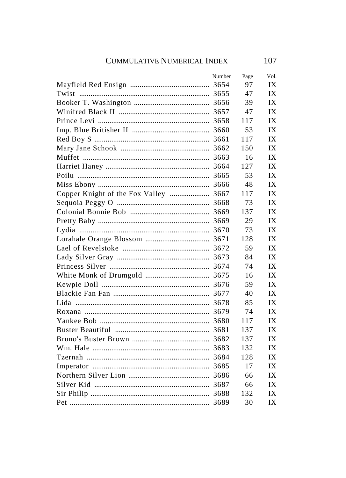|                                       | Number | Page | Vol. |
|---------------------------------------|--------|------|------|
|                                       |        | 97   | IX   |
|                                       |        | 47   | IX   |
|                                       |        | 39   | IX   |
|                                       |        | 47   | IX   |
|                                       |        | 117  | IX   |
|                                       |        | 53   | IX   |
|                                       | 3661   | 117  | IX   |
|                                       |        | 150  | IX   |
|                                       |        | 16   | IX   |
|                                       |        | 127  | IX   |
|                                       |        | 53   | IX   |
|                                       |        | 48   | IX   |
| Copper Knight of the Fox Valley  3667 |        | 117  | IX   |
|                                       |        | 73   | IX   |
|                                       |        | 137  | IX   |
|                                       |        | 29   | IX   |
|                                       |        | 73   | IX   |
|                                       |        | 128  | IX   |
|                                       |        | 59   | IX   |
|                                       |        | 84   | IX   |
|                                       |        | 74   | IX   |
|                                       |        | 16   | IX   |
|                                       |        | 59   | IX   |
|                                       |        | 40   | IX   |
|                                       |        | 85   | IX   |
|                                       |        | 74   | IX   |
|                                       |        | 117  | IX   |
|                                       |        | 137  | IX   |
|                                       |        | 137  | IX   |
|                                       |        | 132  | IX   |
|                                       |        | 128  | IX   |
|                                       |        | 17   | IX   |
|                                       |        | 66   | IX   |
|                                       |        | 66   | IX   |
|                                       |        | 132  | IX   |
|                                       |        | 30   | IX   |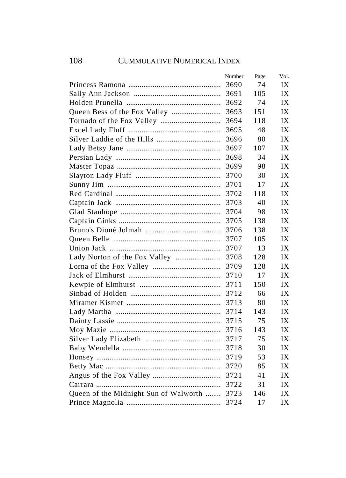|                                       | Number | Page | Vol. |
|---------------------------------------|--------|------|------|
|                                       | 3690   | 74   | IX   |
|                                       | 3691   | 105  | IX   |
|                                       | 3692   | 74   | IX   |
|                                       | 3693   | 151  | IX   |
|                                       | 3694   | 118  | IX   |
|                                       | 3695   | 48   | IX   |
|                                       | 3696   | 80   | IX   |
|                                       | 3697   | 107  | IX   |
|                                       | 3698   | 34   | IX   |
|                                       | 3699   | 98   | IX   |
|                                       | 3700   | 30   | IX   |
|                                       | 3701   | 17   | IX   |
|                                       | 3702   | 118  | IX   |
|                                       | 3703   | 40   | IX   |
|                                       | 3704   | 98   | IX   |
|                                       | 3705   | 138  | IX   |
|                                       | 3706   | 138  | IX   |
|                                       | 3707   | 105  | IX   |
|                                       | 3707   | 13   | IX   |
| Lady Norton of the Fox Valley         | 3708   | 128  | IX   |
|                                       | 3709   | 128  | IX   |
|                                       | 3710   | 17   | IX   |
|                                       | 3711   | 150  | IX   |
|                                       | 3712   | 66   | IX   |
|                                       | 3713   | 80   | IX   |
|                                       | 3714   | 143  | IX   |
|                                       | 3715   | 75   | IX   |
|                                       | 3716   | 143  | IX   |
|                                       | 3717   | 75   | IX   |
|                                       | 3718   | 30   | IX   |
|                                       | 3719   | 53   | IX   |
|                                       | 3720   | 85   | IX   |
|                                       | 3721   | 41   | IX   |
|                                       | 3722   | 31   | IX   |
| Queen of the Midnight Sun of Walworth | 3723   | 146  | IX   |
|                                       | 3724   | 17   | IX   |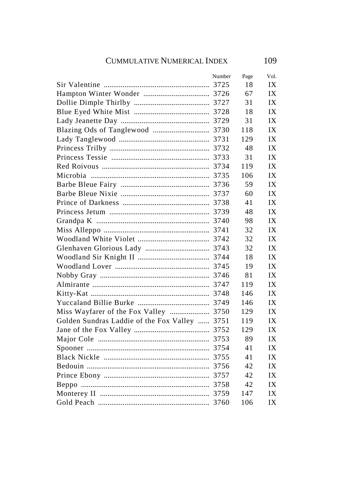## CUMMULATIVE NUMERICAL INDEX 109

|                                               | Number | Page | Vol. |
|-----------------------------------------------|--------|------|------|
|                                               |        | 18   | IX   |
|                                               |        | 67   | IX   |
|                                               |        | 31   | IX   |
|                                               |        | 18   | IX   |
|                                               |        | 31   | IX   |
|                                               |        | 118  | IX   |
|                                               |        | 129  | IX   |
|                                               |        | 48   | IX   |
|                                               |        | 31   | IX   |
|                                               |        | 119  | IX   |
|                                               |        | 106  | IX   |
|                                               |        | 59.  | IX   |
|                                               |        | 60   | IX   |
|                                               |        | 41   | IX   |
|                                               |        | 48   | IX   |
|                                               |        | 98   | IX   |
|                                               |        | 32   | IX   |
|                                               |        | 32   | IX   |
|                                               |        | 32   | IX   |
|                                               |        | 18   | IX   |
|                                               |        | 19   | IX   |
|                                               |        | 81   | IX   |
|                                               |        | 119  | IX   |
|                                               |        | 146  | IX   |
|                                               |        | 146  | IX   |
|                                               |        | 129  | IX   |
| Golden Sundras Laddie of the Fox Valley  3751 |        | 119  | IX   |
|                                               |        | 129  | IX   |
|                                               |        | 89   | IX   |
|                                               |        | 41   | IX   |
|                                               |        | 41   | IX   |
|                                               |        | 42   | IX   |
|                                               |        | 42   | IX   |
|                                               |        | 42   | IX   |
|                                               |        | 147  | IX   |
|                                               |        | 106  | IX   |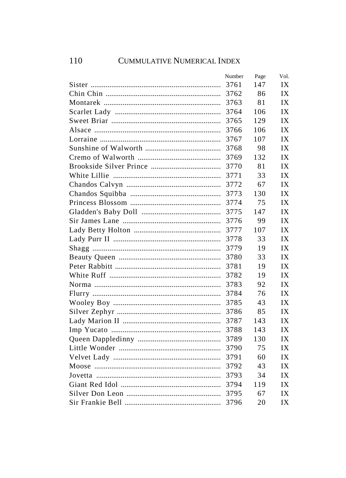## 110 CUMMULATIVE NUMERICAL INDEX

| Number | Page | Vol. |
|--------|------|------|
| 3761   | 147  | IX   |
| 3762   | 86   | IX   |
| 3763   | 81   | IX   |
| 3764   | 106  | IX   |
| 3765   | 129  | IX   |
| 3766   | 106  | IX   |
| 3767   | 107  | IX   |
| 3768   | 98   | IX   |
| 3769   | 132  | IX   |
| 3770   | 81   | IX   |
| 3771   | 33   | IX   |
| 3772   | 67   | IX   |
| 3773   | 130  | IX   |
| 3774   | 75   | IX   |
| 3775   | 147  | IX   |
| 3776   | 99   | IX   |
| 3777   | 107  | IX   |
| 3778   | 33   | IX   |
| 3779   | 19   | IX   |
| 3780   | 33   | IX   |
| 3781   | 19   | IX   |
| 3782   | 19   | IX   |
| 3783   | 92   | IX   |
| 3784   | 76   | IX   |
| 3785   | 43   | IX   |
| 3786   | 85   | IX   |
| 3787   | 143  | IX   |
| 3788   | 143  | IX   |
| 3789   | 130  | IX   |
| 3790   | 75   | IX   |
| 3791   | 60   | IX   |
| 3792   | 43   | IX   |
| 3793   | 34   | IX   |
| 3794   | 119  | IX   |
| 3795   | 67   | IX   |
| 3796   | 20   | IX   |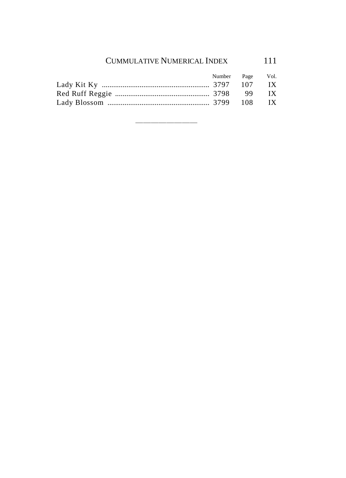## CUMMULATIVE NUMERICAL INDEX 111

|  | Number Page Vol. |  |
|--|------------------|--|
|  |                  |  |
|  |                  |  |
|  |                  |  |

————————